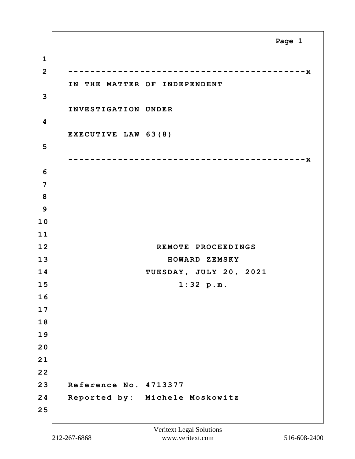**1 2 -------------------------------------------x IN THE MATTER OF INDEPENDENT 3 INVESTIGATION UNDER 4 EXECUTIVE LAW 63(8) 5 -------------------------------------------x 6 7 8 9 1 0 1 1 12 REMOTE PROCEEDINGS 13 HOWARD ZEMSKY 14 TUESDAY, JULY 20, 2021 15 1:32 p.m. 1 6 1 7 1 8 1 9 2 0 2 1 2 2 23 Reference No. 4713377 24 Reported by: Michele Moskowitz 2 5 Page 1**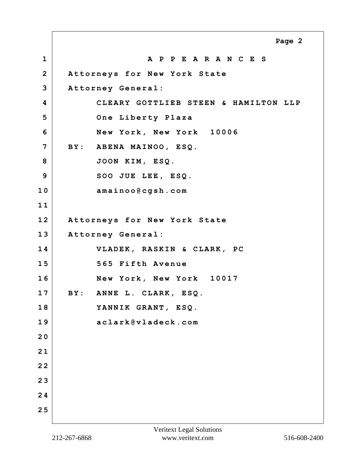**1 A P P E A R A N C E S 2 Attorneys for New York State 3 Attorney General: 4 CLEARY GOTTLIEB STEEN & HAMILTON LLP 5 One Liberty Plaza 6 New York, New York 10006 7 BY: ABENA MAINOO, ESQ. 8 JOON KIM, ESQ. 9 SOO JUE LEE, ESQ. 10 amainoo@cgsh.com 1 1 12 Attorneys for New York State 13 Attorney General: 14 VLADEK, RASKIN & CLARK, PC 15 565 Fifth Avenue 16 New York, New York 10017 17 BY: ANNE L. CLARK, ESQ. 18 YANNIK GRANT, ESQ. 19 aclark@vladeck.com 2 0 2 1 2 2 2 3 2 4 2 5 Page 2**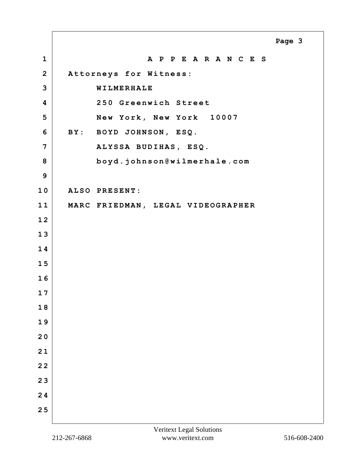**1 A P P E A R A N C E S 2 Attorneys for Witness: 3 WILMERHALE 4 250 Greenwich Street 5 New York, New York 10007 6 BY: BOYD JOHNSON, ESQ. 7 ALYSSA BUDIHAS, ESQ. 8 boyd.johnson@wilmerhale.com 9 10 ALSO PRESENT: 11 MARC FRIEDMAN, LEGAL VIDEOGRAPHER 1 2 1 3 1 4 1 5 1 6 1 7 1 8 1 9 2 0 2 1 2 2 2 3 2 4 2 5 Page 3**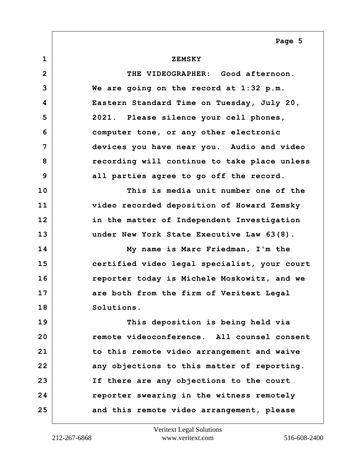## **1 ZEMSKY**

**2 THE VIDEOGRAPHER: Good afternoon. 3 We are going on the record at 1:32 p.m. 4 Eastern Standard Time on Tuesday, July 20, 5 2021. Please silence your cell phones, 6 computer tone, or any other electronic 7 devices you have near you. Audio and video 8 recording will continue to take place unless 9 all parties agree to go off the record. 10 This is media unit number one of the 11 video recorded deposition of Howard Zemsky 12 in the matter of Independent Investigation 13 under New York State Executive Law 63(8). 14 My name is Marc Friedman, I'm the 15 certified video legal specialist, your court 16 reporter today is Michele Moskowitz, and we 17 are both from the firm of Veritext Legal 18 Solutions. 19 This deposition is being held via 20 remote videoconference. All counsel consent 21 to this remote video arrangement and waive** 22 **any objections to this matter of reporting. 23 If there are any objections to the court 24 reporter swearing in the witness remotely 25 and this remote video arrangement, please**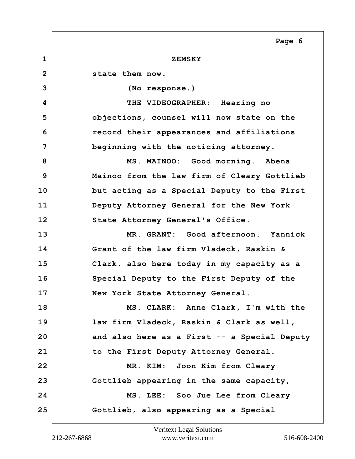**1 ZEMSKY 2 state them now. 3 (No response.) 4 THE VIDEOGRAPHER: Hearing no 5 objections, counsel will now state on the 6 record their appearances and affiliations 7 beginning with the noticing attorney. 8 MS. MAINOO: Good morning. Abena 9 Mainoo from the law firm of Cleary Gottlieb 10 but acting as a Special Deputy to the First 11 Deputy Attorney General for the New York** 12 State Attorney General's Office. **13 MR. GRANT: Good afternoon. Yannick 14 Grant of the law firm Vladeck, Raskin & 15 Clark, also here today in my capacity as a 16 Special Deputy to the First Deputy of the 17 New York State Attorney General. 18 MS. CLARK: Anne Clark, I'm with the 19 law firm Vladeck, Raskin & Clark as well, 20 and also here as a First -- a Special Deputy 21 to the First Deputy Attorney General. 22 MR. KIM: Joon Kim from Cleary 23 Gottlieb appearing in the same capacity, 24 MS. LEE: Soo Jue Lee from Cleary 25 Gottlieb, also appearing as a Special Page 6**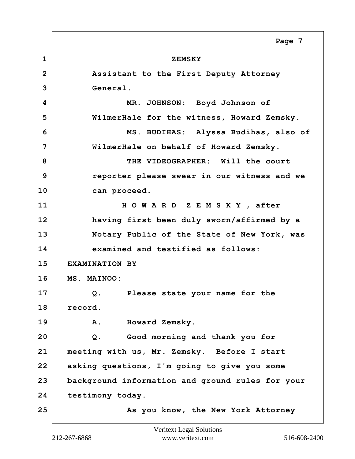**1 ZEMSKY 2 Assistant to the First Deputy Attorney 3 General. 4 MR. JOHNSON: Boyd Johnson of 5 WilmerHale for the witness, Howard Zemsky. 6 MS. BUDIHAS: Alyssa Budihas, also of 7 WilmerHale on behalf of Howard Zemsky. 8 THE VIDEOGRAPHER: Will the court 9 reporter please swear in our witness and we 10 can proceed. 11 H O W A R D Z E M S K Y , after 12 having first been duly sworn/affirmed by a 13 Notary Public of the State of New York, was 14 examined and testified as follows: 15 EXAMINATION BY 16 MS. MAINOO: 17 Q. Please state your name for the 18 record. 19 A. Howard Zemsky. 20 Q. Good morning and thank you for 21 meeting with us, Mr. Zemsky. Before I start 22 asking questions, I'm going to give you some 23 background information and ground rules for your 24 testimony today. 25** As you know, the New York Attorney **Page 7**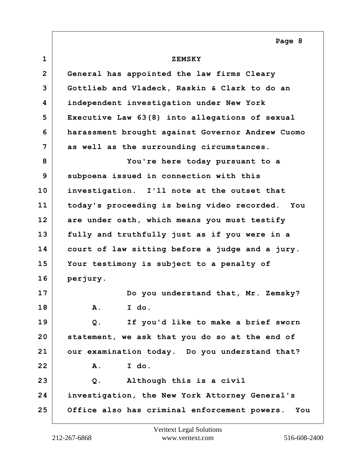| $\mathbf{1}$   | <b>ZEMSKY</b>                                       |
|----------------|-----------------------------------------------------|
| $\overline{2}$ | General has appointed the law firms Cleary          |
| 3              | Gottlieb and Vladeck, Raskin & Clark to do an       |
| 4              | independent investigation under New York            |
| 5              | Executive Law 63(8) into allegations of sexual      |
| 6              | harassment brought against Governor Andrew Cuomo    |
| 7              | as well as the surrounding circumstances.           |
| 8              | You're here today pursuant to a                     |
| 9              | subpoena issued in connection with this             |
| 10             | investigation. I'll note at the outset that         |
| 11             | today's proceeding is being video recorded. You     |
| 12             | are under oath, which means you must testify        |
| 13             | fully and truthfully just as if you were in a       |
| 14             | court of law sitting before a judge and a jury.     |
| 15             | Your testimony is subject to a penalty of           |
| 16             | perjury.                                            |
| 17             | Do you understand that, Mr. Zemsky?                 |
| 18             | I do.<br>A.                                         |
| 19             | If you'd like to make a brief sworn<br>Q.           |
| 20             | statement, we ask that you do so at the end of      |
| 21             | our examination today. Do you understand that?      |
| 22             | I do.<br>Α.                                         |
| 23             | Although this is a civil<br>Q.                      |
| 24             | investigation, the New York Attorney General's      |
| 25             | Office also has criminal enforcement powers.<br>You |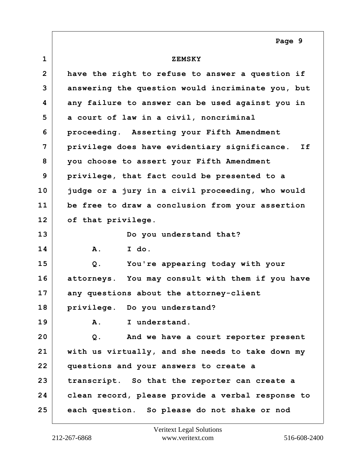| $\mathbf{1}$    | <b>ZEMSKY</b>                                       |
|-----------------|-----------------------------------------------------|
| $\overline{2}$  |                                                     |
|                 | have the right to refuse to answer a question if    |
| 3               | answering the question would incriminate you, but   |
| 4               | any failure to answer can be used against you in    |
| 5               | a court of law in a civil, noncriminal              |
| 6               | proceeding. Asserting your Fifth Amendment          |
| 7               | privilege does have evidentiary significance.<br>If |
| 8               | you choose to assert your Fifth Amendment           |
| 9               | privilege, that fact could be presented to a        |
| 10              | judge or a jury in a civil proceeding, who would    |
| 11              | be free to draw a conclusion from your assertion    |
| 12 <sup>2</sup> | of that privilege.                                  |
| 13              | Do you understand that?                             |
| 14              | I do.<br>Α.                                         |
| 15              | You're appearing today with your<br>Q.              |
| 16              | attorneys. You may consult with them if you have    |
| 17              | any questions about the attorney-client             |
| 18              | privilege. Do you understand?                       |
| 19              | I understand.<br>Α.                                 |
| 20              | And we have a court reporter present<br>Q.          |
| 21              | with us virtually, and she needs to take down my    |
| 22              | questions and your answers to create a              |
| 23              | transcript. So that the reporter can create a       |
| 24              | clean record, please provide a verbal response to   |
| 25              | each question. So please do not shake or nod        |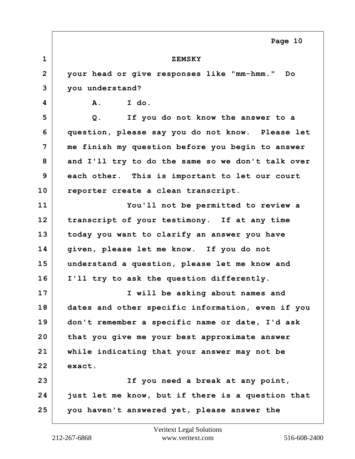| $\mathbf 1$    | <b>ZEMSKY</b>                                     |
|----------------|---------------------------------------------------|
| $\overline{2}$ | your head or give responses like "mm-hmm." Do     |
| 3              | you understand?                                   |
| 4              | I do.<br>A.                                       |
| 5              | $Q$ .<br>If you do not know the answer to a       |
| 6              | question, please say you do not know. Please let  |
| 7              | me finish my question before you begin to answer  |
| 8              | and I'll try to do the same so we don't talk over |
| 9              | each other. This is important to let our court    |
| 10             | reporter create a clean transcript.               |
| 11             | You'll not be permitted to review a               |
| 12             | transcript of your testimony. If at any time      |
| 13             | today you want to clarify an answer you have      |
| 14             | given, please let me know. If you do not          |
| 15             | understand a question, please let me know and     |
| 16             | I'll try to ask the question differently.         |
| 17             | I will be asking about names and                  |
| 18             | dates and other specific information, even if you |
| 19             | don't remember a specific name or date, I'd ask   |
| 20             | that you give me your best approximate answer     |
| 21             | while indicating that your answer may not be      |
| 22             | exact.                                            |
| 23             | If you need a break at any point,                 |
| 24             | just let me know, but if there is a question that |
| 25             | you haven't answered yet, please answer the       |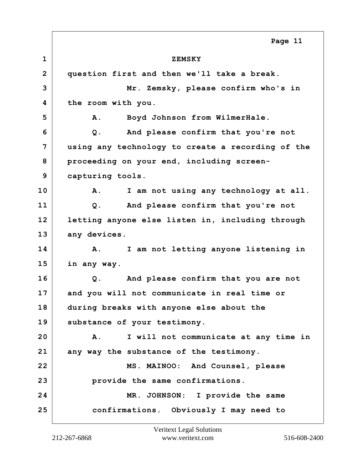**1 ZEMSKY 2 question first and then we'll take a break. 3 Mr. Zemsky, please confirm who's in 4 the room with you. 5 A. Boyd Johnson from WilmerHale. 6 Q. And please confirm that you're not 7 using any technology to create a recording of the 8 proceeding on your end, including screen-9 capturing tools. 10 A. I am not using any technology at all. 11 Q. And please confirm that you're not 12 letting anyone else listen in, including through** 13 any devices. **14 A. I am not letting anyone listening in 15 in any way. 16 Q. And please confirm that you are not 17 and you will not communicate in real time or 18 during breaks with anyone else about the 19 substance of your testimony. 20 A. I will not communicate at any time in 21 any way the substance of the testimony. 22 MS. MAINOO: And Counsel, please 23 provide the same confirmations. 24 MR. JOHNSON: I provide the same 25 confirmations. Obviously I may need to Page 11**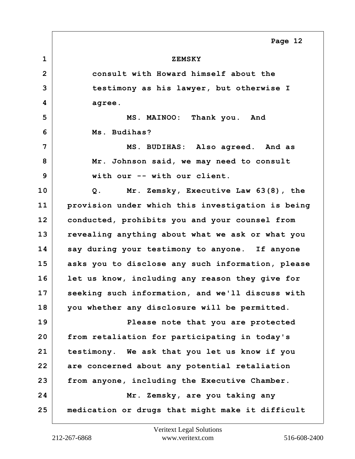| $\mathbf{1}$   | <b>ZEMSKY</b>                                     |
|----------------|---------------------------------------------------|
| $\overline{2}$ | consult with Howard himself about the             |
| 3              | testimony as his lawyer, but otherwise I          |
| 4              | agree.                                            |
| 5              | MS. MAINOO: Thank you. And                        |
| 6              | Ms. Budihas?                                      |
| 7              | MS. BUDIHAS: Also agreed. And as                  |
| 8              | Mr. Johnson said, we may need to consult          |
| 9              | with our -- with our client.                      |
| 10             | Mr. Zemsky, Executive Law 63(8), the<br>Q.        |
| 11             | provision under which this investigation is being |
| 12             | conducted, prohibits you and your counsel from    |
| 13             | revealing anything about what we ask or what you  |
| 14             | say during your testimony to anyone. If anyone    |
| 15             | asks you to disclose any such information, please |
| 16             | let us know, including any reason they give for   |
| 17             | seeking such information, and we'll discuss with  |
| 18             | you whether any disclosure will be permitted.     |
| 19             | Please note that you are protected                |
| 20             | from retaliation for participating in today's     |
| 21             | testimony. We ask that you let us know if you     |
| 22             | are concerned about any potential retaliation     |
| 23             | from anyone, including the Executive Chamber.     |
| 24             | Mr. Zemsky, are you taking any                    |
| 25             | medication or drugs that might make it difficult  |
|                |                                                   |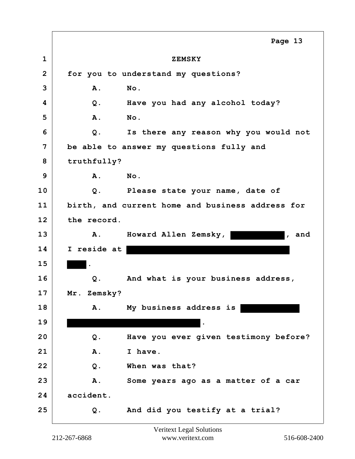**1 ZEMSKY 2 for you to understand my questions? 3 A. No. 4 Q. Have you had any alcohol today? 5 A. No. 6 Q. Is there any reason why you would not 7 be able to answer my questions fully and 8 truthfully? 9 A. No. 10 Q. Please state your name, date of 11 birth, and current home and business address for 12 the record.** 13 A. Howard Allen Zemsky, **the contract Allen Lemsky**, and **14 I reside at 15 . 16 Q. And what is your business address, 17 Mr. Zemsky? 18 A. My business address is 19 . 20 Q. Have you ever given testimony before? 21 A. I have. 22 Q. When was that? 23 A. Some years ago as a matter of a car 24 accident. 25 Q. And did you testify at a trial? Page 13**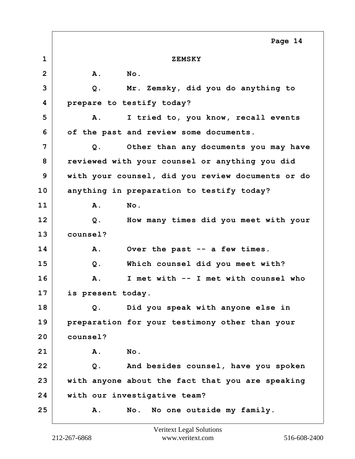**1 ZEMSKY 2 A. No. 3 Q. Mr. Zemsky, did you do anything to 4 prepare to testify today? 5 A. I tried to, you know, recall events 6 of the past and review some documents. 7 Q. Other than any documents you may have 8 reviewed with your counsel or anything you did 9 with your counsel, did you review documents or do 10 anything in preparation to testify today? 11 A. No. 12 Q. How many times did you meet with your 13 counsel? 14 A. Over the past -- a few times. 15 Q. Which counsel did you meet with? 16 A. I met with -- I met with counsel who 17 is present today. 18 Q. Did you speak with anyone else in 19 preparation for your testimony other than your 20 counsel? 21 A. No. 22 Q. And besides counsel, have you spoken 23 with anyone about the fact that you are speaking 24 with our investigative team? 25 A. No. No one outside my family. Page 14**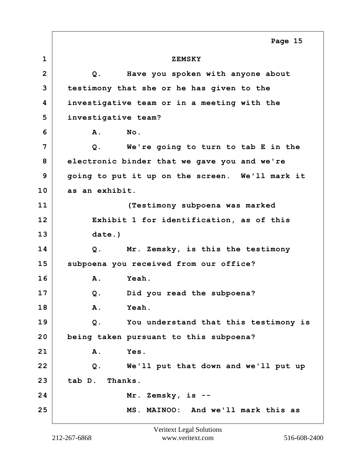**1 ZEMSKY 2 Q. Have you spoken with anyone about 3 testimony that she or he has given to the 4 investigative team or in a meeting with the 5 investigative team? 6 A. No. 7 Q. We're going to turn to tab E in the 8 electronic binder that we gave you and we're 9 going to put it up on the screen. We'll mark it 10 as an exhibit. 11 (Testimony subpoena was marked 12 Exhibit 1 for identification, as of this 13 date.) 14 Q. Mr. Zemsky, is this the testimony 15 subpoena you received from our office? 16 A. Yeah. 17 Q. Did you read the subpoena? 18 A. Yeah. 19 Q. You understand that this testimony is 20 being taken pursuant to this subpoena? 21 A. Yes. 22 Q. We'll put that down and we'll put up 23 tab D. Thanks. 24 Mr. Zemsky, is -- 25 MS. MAINOO: And we'll mark this as Page 15**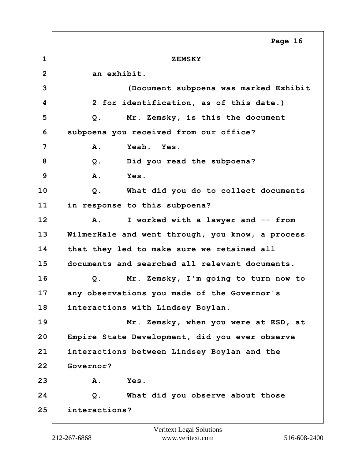**1 ZEMSKY 2 an exhibit. 3 (Document subpoena was marked Exhibit 4 2 for identification, as of this date.) 5 Q. Mr. Zemsky, is this the document 6 subpoena you received from our office? 7 A. Yeah. Yes. 8 Q. Did you read the subpoena? 9 A. Yes. 10 Q. What did you do to collect documents 11 in response to this subpoena? 12 A. I worked with a lawyer and -- from 13 WilmerHale and went through, you know, a process 14 that they led to make sure we retained all 15 documents and searched all relevant documents. 16 Q. Mr. Zemsky, I'm going to turn now to 17 any observations you made of the Governor's 18 interactions with Lindsey Boylan. 19 Mr. Zemsky, when you were at ESD, at 20 Empire State Development, did you ever observe 21 interactions between Lindsey Boylan and the 22 Governor? 23 A. Yes. 24 Q. What did you observe about those 25 interactions? Page 16**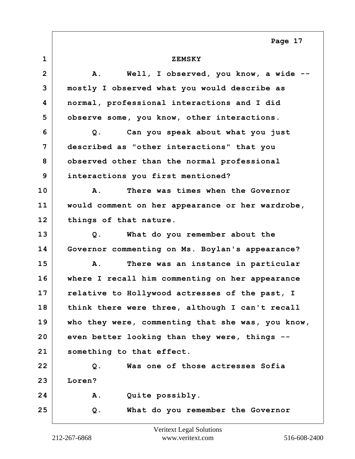| $\mathbf{1}$   | <b>ZEMSKY</b>                                     |
|----------------|---------------------------------------------------|
| $\overline{2}$ | Well, I observed, you know, a wide<br>A.          |
| 3              | mostly I observed what you would describe as      |
| 4              | normal, professional interactions and I did       |
| 5              | observe some, you know, other interactions.       |
| 6              | Can you speak about what you just<br>Q.           |
| 7              | described as "other interactions" that you        |
| 8              | observed other than the normal professional       |
| 9              | interactions you first mentioned?                 |
| 10             | There was times when the Governor<br>Α.           |
| 11             | would comment on her appearance or her wardrobe,  |
| 12             | things of that nature.                            |
| 13             | What do you remember about the<br>Q.              |
| 14             | Governor commenting on Ms. Boylan's appearance?   |
| 15             | There was an instance in particular<br>Α.         |
| 16             | where I recall him commenting on her appearance   |
| 17             | relative to Hollywood actresses of the past, I    |
| 18             | think there were three, although I can't recall   |
| 19             | who they were, commenting that she was, you know, |
| 20             | even better looking than they were, things --     |
| 21             | something to that effect.                         |
| 22             | Was one of those actresses Sofia<br>$Q$ .         |
| 23             | Loren?                                            |
| 24             | Quite possibly.<br>Α.                             |
| 25             | What do you remember the Governor<br>Q.           |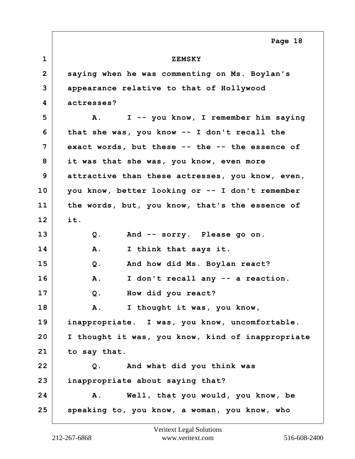**1 ZEMSKY 2 saying when he was commenting on Ms. Boylan's 3 appearance relative to that of Hollywood 4 actresses? 5 A. I -- you know, I remember him saying 6 that she was, you know -- I don't recall the 7 exact words, but these -- the -- the essence of 8 it was that she was, you know, even more 9 attractive than these actresses, you know, even, 10 you know, better looking or -- I don't remember 11 the words, but, you know, that's the essence of 12 it. 13 Q. And -- sorry. Please go on. 14 A. I think that says it. 15 Q. And how did Ms. Boylan react? 16 A. I don't recall any -- a reaction. 17 Q. How did you react? 18 A. I thought it was, you know, 19 inappropriate. I was, you know, uncomfortable. 20 I thought it was, you know, kind of inappropriate 21 to say that. 22 Q. And what did you think was 23 inappropriate about saying that? 24 A. Well, that you would, you know, be 25 speaking to, you know, a woman, you know, who**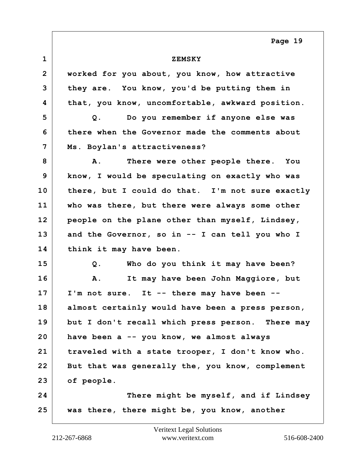| $\mathbf{1}$   | <b>ZEMSKY</b>                                    |
|----------------|--------------------------------------------------|
| $\overline{2}$ | worked for you about, you know, how attractive   |
| 3              | they are. You know, you'd be putting them in     |
| 4              | that, you know, uncomfortable, awkward position. |
| 5              | Do you remember if anyone else was<br>Q.         |
| 6              | there when the Governor made the comments about  |
| 7              | Ms. Boylan's attractiveness?                     |
| 8              | There were other people there. You<br>Α.         |
| 9              | know, I would be speculating on exactly who was  |
| 10             | there, but I could do that. I'm not sure exactly |
| 11             | who was there, but there were always some other  |
| 12             | people on the plane other than myself, Lindsey,  |
| 13             | and the Governor, so in -- I can tell you who I  |
| 14             | think it may have been.                          |
| 15             | Who do you think it may have been?<br>Q.         |
| 16             | It may have been John Maggiore, but<br>Α.        |
| 17             | I'm not sure. It -- there may have been --       |
| 18             | almost certainly would have been a press person, |
| 19             | but I don't recall which press person. There may |
| 20             | have been a -- you know, we almost always        |
| 21             | traveled with a state trooper, I don't know who. |
| 22             | But that was generally the, you know, complement |
| 23             | of people.                                       |
| 24             | There might be myself, and if Lindsey            |
| 25             | was there, there might be, you know, another     |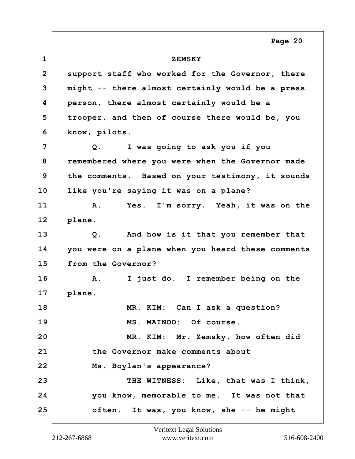**1 ZEMSKY 2 support staff who worked for the Governor, there 3 might -- there almost certainly would be a press 4 person, there almost certainly would be a 5 trooper, and then of course there would be, you 6 know, pilots. 7 Q. I was going to ask you if you 8 remembered where you were when the Governor made 9 the comments. Based on your testimony, it sounds 10 like you're saying it was on a plane? 11 A. Yes. I'm sorry. Yeah, it was on the 12 plane. 13 Q. And how is it that you remember that 14 you were on a plane when you heard these comments 15 from the Governor? 16 A. I just do. I remember being on the 17 plane. 18 MR. KIM: Can I ask a question? 19 MS. MAINOO: Of course. 20 MR. KIM: Mr. Zemsky, how often did 21 the Governor make comments about 22 Ms. Boylan's appearance?** 23 THE WITNESS: Like, that was I think, **24 you know, memorable to me. It was not that 25 often. It was, you know, she -- he might Page 20**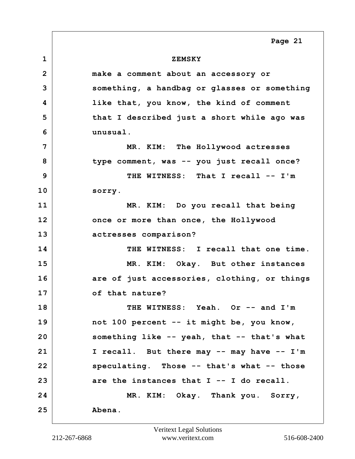**1 ZEMSKY 2 make a comment about an accessory or 3 something, a handbag or glasses or something 4 like that, you know, the kind of comment 5 that I described just a short while ago was 6 unusual. 7 MR. KIM: The Hollywood actresses 8 type comment, was -- you just recall once? 9 THE WITNESS: That I recall -- I'm 10 sorry. 11 MR. KIM: Do you recall that being 12 once or more than once, the Hollywood 13 actresses comparison? 14 THE WITNESS: I recall that one time. 15 MR. KIM: Okay. But other instances 16 are of just accessories, clothing, or things 17 of that nature? 18 THE WITNESS: Yeah. Or -- and I'm 19 not 100 percent -- it might be, you know, 20 something like -- yeah, that -- that's what 21 I recall. But there may -- may have -- I'm 22 speculating. Those -- that's what -- those 23 are the instances that I -- I do recall. 24 MR. KIM: Okay. Thank you. Sorry, 25 Abena. Page 21**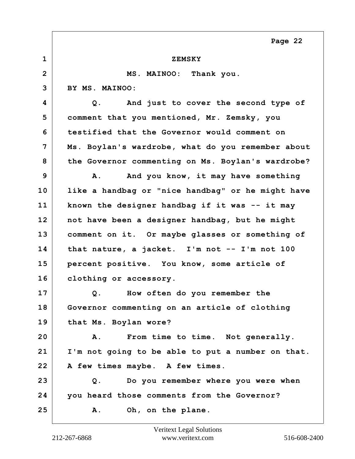| $\mathbf{1}$   | <b>ZEMSKY</b>                                     |
|----------------|---------------------------------------------------|
| $\overline{2}$ | MS. MAINOO: Thank you.                            |
| 3              | BY MS. MAINOO:                                    |
| 4              | And just to cover the second type of<br>Q.        |
| 5              | comment that you mentioned, Mr. Zemsky, you       |
| 6              | testified that the Governor would comment on      |
| 7              | Ms. Boylan's wardrobe, what do you remember about |
| 8              | the Governor commenting on Ms. Boylan's wardrobe? |
| 9              | And you know, it may have something<br>Α.         |
| 10             | like a handbag or "nice handbag" or he might have |
| 11             | known the designer handbag if it was -- it may    |
| 12             | not have been a designer handbag, but he might    |
| 13             | comment on it. Or maybe glasses or something of   |
| 14             | that nature, a jacket. I'm not $--$ I'm not 100   |
| 15             | percent positive. You know, some article of       |
| 16             | clothing or accessory.                            |
| 17             | How often do you remember the<br>Q.               |
| 18             | Governor commenting on an article of clothing     |
| 19             | that Ms. Boylan wore?                             |
| 20             | From time to time. Not generally.<br>Α.           |
| 21             | I'm not going to be able to put a number on that. |
| 22             | A few times maybe. A few times.                   |
| 23             | Do you remember where you were when<br>Q.         |
| 24             | you heard those comments from the Governor?       |
| 25             | <b>A</b> .<br>Oh, on the plane.                   |
|                |                                                   |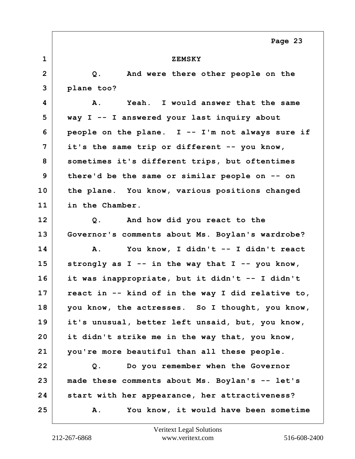| $\mathbf 1$     | <b>ZEMSKY</b>                                         |
|-----------------|-------------------------------------------------------|
| $\overline{2}$  | And were there other people on the<br>Q.              |
| 3               | plane too?                                            |
| 4               | Yeah. I would answer that the same<br>Α.              |
| 5               | way I -- I answered your last inquiry about           |
| 6               | people on the plane. $I - - I'm$ not always sure if   |
| 7               | it's the same trip or different -- you know,          |
| 8               | sometimes it's different trips, but oftentimes        |
| 9               | there'd be the same or similar people on -- on        |
| 10              | the plane. You know, various positions changed        |
| 11              | in the Chamber.                                       |
| 12 <sub>2</sub> | And how did you react to the<br>Q.                    |
| 13              | Governor's comments about Ms. Boylan's wardrobe?      |
| 14              | You know, I didn't -- I didn't react<br>Α.            |
| 15              | strongly as $I - - in$ the way that $I - -$ you know, |
| 16              | it was inappropriate, but it didn't -- I didn't       |
| 17              | react in -- kind of in the way I did relative to,     |
| 18              | you know, the actresses. So I thought, you know,      |
| 19              | it's unusual, better left unsaid, but, you know,      |
| 20              | it didn't strike me in the way that, you know,        |
| 21              | you're more beautiful than all these people.          |
| 22              | Do you remember when the Governor<br>Q.               |
| 23              | made these comments about Ms. Boylan's -- let's       |
| 24              | start with her appearance, her attractiveness?        |
| 25              | You know, it would have been sometime<br>Α.           |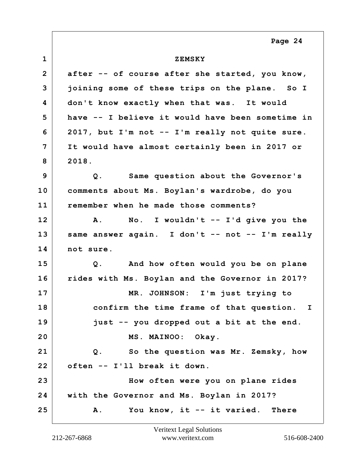**1 ZEMSKY 2 after -- of course after she started, you know, 3 joining some of these trips on the plane. So I 4 don't know exactly when that was. It would 5 have -- I believe it would have been sometime in 6 2017, but I'm not -- I'm really not quite sure. 7 It would have almost certainly been in 2017 or 8 2018. 9 Q. Same question about the Governor's 10 comments about Ms. Boylan's wardrobe, do you 11 remember when he made those comments? 12 A. No. I wouldn't -- I'd give you the 13 same answer again. I don't -- not -- I'm really 14 not sure. 15 Q. And how often would you be on plane 16 rides with Ms. Boylan and the Governor in 2017? 17 MR. JOHNSON: I'm just trying to 18 confirm the time frame of that question. I 19 just -- you dropped out a bit at the end. 20 MS. MAINOO: Okay. 21 Q. So the question was Mr. Zemsky, how 22 often -- I'll break it down. 23 How often were you on plane rides 24 with the Governor and Ms. Boylan in 2017? 25 A. You know, it -- it varied. There**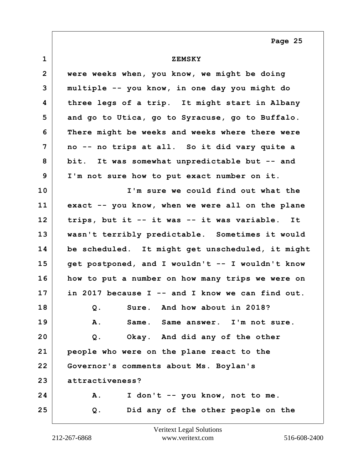| $\mathbf{1}$   | <b>ZEMSKY</b>                                     |
|----------------|---------------------------------------------------|
| $\overline{2}$ | were weeks when, you know, we might be doing      |
| 3              | multiple -- you know, in one day you might do     |
| 4              | three legs of a trip. It might start in Albany    |
| 5              | and go to Utica, go to Syracuse, go to Buffalo.   |
| 6              | There might be weeks and weeks where there were   |
| 7              | no -- no trips at all. So it did vary quite a     |
| 8              | bit. It was somewhat unpredictable but -- and     |
| 9              | I'm not sure how to put exact number on it.       |
| 10             | I'm sure we could find out what the               |
| 11             | exact -- you know, when we were all on the plane  |
| 12             | trips, but it -- it was -- it was variable.<br>It |
| 13             | wasn't terribly predictable. Sometimes it would   |
| 14             | be scheduled. It might get unscheduled, it might  |
| 15             | get postponed, and I wouldn't -- I wouldn't know  |
| 16             | how to put a number on how many trips we were on  |
| 17             | in 2017 because I -- and I know we can find out.  |
| 18             | And how about in 2018?<br>Sure.<br>Q.             |
| 19             | Same. Same answer. I'm not sure.<br>Α.            |
| 20             | Okay. And did any of the other<br>Q.              |
| 21             | people who were on the plane react to the         |
| 22             | Governor's comments about Ms. Boylan's            |
| 23             | attractiveness?                                   |
| 24             | I don't -- you know, not to me.<br>Α.             |
| 25             | Did any of the other people on the<br>Q.          |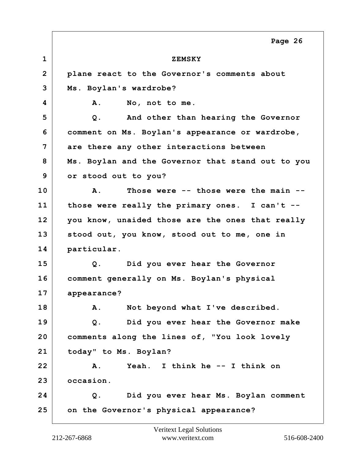**1 ZEMSKY 2 plane react to the Governor's comments about 3 Ms. Boylan's wardrobe? 4 A. No, not to me. 5 Q. And other than hearing the Governor 6 comment on Ms. Boylan's appearance or wardrobe, 7 are there any other interactions between 8 Ms. Boylan and the Governor that stand out to you 9 or stood out to you? 10 A. Those were -- those were the main -- 11 those were really the primary ones. I can't -- 12 you know, unaided those are the ones that really 13 stood out, you know, stood out to me, one in 14 particular. 15 Q. Did you ever hear the Governor 16 comment generally on Ms. Boylan's physical 17 appearance? 18 A. Not beyond what I've described. 19 Q. Did you ever hear the Governor make 20 comments along the lines of, "You look lovely 21 today" to Ms. Boylan? 22 A. Yeah. I think he -- I think on 23 occasion. 24 Q. Did you ever hear Ms. Boylan comment 25 on the Governor's physical appearance? Page 26**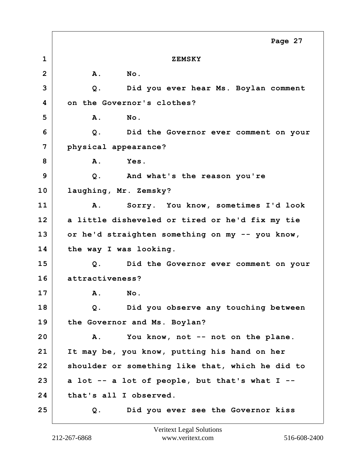**1 ZEMSKY 2 A. No. 3 Q. Did you ever hear Ms. Boylan comment 4 on the Governor's clothes? 5 A. No. 6 Q. Did the Governor ever comment on your 7 physical appearance? 8 A. Yes. 9 Q. And what's the reason you're 10 laughing, Mr. Zemsky? 11 A. Sorry. You know, sometimes I'd look 12 a little disheveled or tired or he'd fix my tie 13 or he'd straighten something on my -- you know, 14 the way I was looking. 15 Q. Did the Governor ever comment on your 16 attractiveness? 17 A. No. 18 Q. Did you observe any touching between 19 the Governor and Ms. Boylan? 20 A. You know, not -- not on the plane. 21 It may be, you know, putting his hand on her 22 shoulder or something like that, which he did to 23 a lot -- a lot of people, but that's what I -- 24 that's all I observed. 25 Q. Did you ever see the Governor kiss Page 27**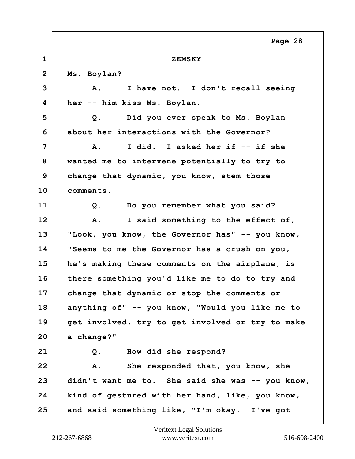**1 ZEMSKY 2 Ms. Boylan? 3 A. I have not. I don't recall seeing 4 her -- him kiss Ms. Boylan. 5 Q. Did you ever speak to Ms. Boylan 6 about her interactions with the Governor? 7 A. I did. I asked her if -- if she 8 wanted me to intervene potentially to try to 9 change that dynamic, you know, stem those 10 comments. 11 Q. Do you remember what you said? 12 A. I said something to the effect of, 13 "Look, you know, the Governor has" -- you know, 14 "Seems to me the Governor has a crush on you, 15 he's making these comments on the airplane, is 16 there something you'd like me to do to try and 17 change that dynamic or stop the comments or 18 anything of" -- you know, "Would you like me to 19 get involved, try to get involved or try to make 20 a change?" 21 Q. How did she respond? 22 A. She responded that, you know, she 23 didn't want me to. She said she was -- you know, 24 kind of gestured with her hand, like, you know, 25 and said something like, "I'm okay. I've got Page 28**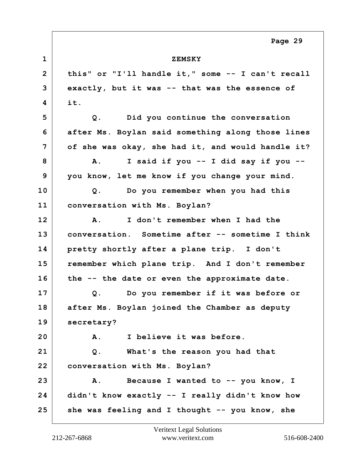| $\mathbf 1$    | <b>ZEMSKY</b>                                     |
|----------------|---------------------------------------------------|
| $\overline{2}$ | this" or "I'll handle it," some -- I can't recall |
| 3              | exactly, but it was -- that was the essence of    |
| 4              | it.                                               |
| 5              | Did you continue the conversation<br>Q.           |
| 6              | after Ms. Boylan said something along those lines |
| 7              | of she was okay, she had it, and would handle it? |
| 8              | I said if you -- I did say if you --<br>Α.        |
| 9              | you know, let me know if you change your mind.    |
| 10             | Do you remember when you had this<br>Q.           |
| 11             | conversation with Ms. Boylan?                     |
| 12             | I don't remember when I had the<br>Α.             |
| 13             | conversation. Sometime after -- sometime I think  |
| 14             | pretty shortly after a plane trip. I don't        |
| 15             | remember which plane trip. And I don't remember   |
| 16             | the -- the date or even the approximate date.     |
| 17             | Do you remember if it was before or<br>$Q$ .      |
| 18             | after Ms. Boylan joined the Chamber as deputy     |
| 19             | secretary?                                        |
| 20             | I believe it was before.<br>Α.                    |
| 21             | What's the reason you had that<br>$Q$ .           |
| 22             | conversation with Ms. Boylan?                     |
| 23             | Because I wanted to -- you know, I<br><b>A.</b>   |
| 24             | didn't know exactly -- I really didn't know how   |
| 25             | she was feeling and I thought -- you know, she    |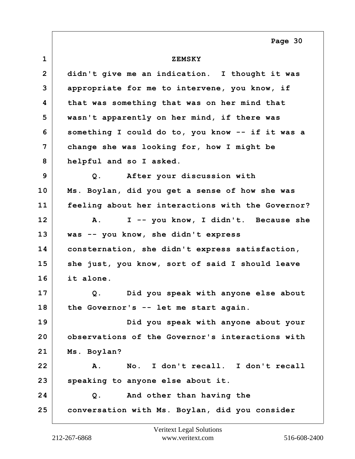| $\mathbf 1$    | <b>ZEMSKY</b>                                     |
|----------------|---------------------------------------------------|
| $\overline{2}$ | didn't give me an indication. I thought it was    |
| 3              | appropriate for me to intervene, you know, if     |
| 4              | that was something that was on her mind that      |
| 5              | wasn't apparently on her mind, if there was       |
| 6              | something I could do to, you know -- if it was a  |
| 7              | change she was looking for, how I might be        |
| 8              | helpful and so I asked.                           |
| 9              | After your discussion with<br>Q.                  |
| 10             | Ms. Boylan, did you get a sense of how she was    |
| 11             | feeling about her interactions with the Governor? |
| 12             | I -- you know, I didn't. Because she<br>Α.        |
| 13             | was -- you know, she didn't express               |
| 14             | consternation, she didn't express satisfaction,   |
| 15             | she just, you know, sort of said I should leave   |
| 16             | it alone.                                         |
| 17             | Did you speak with anyone else about<br>Q.        |
| 18             | the Governor's -- let me start again.             |
| 19             | Did you speak with anyone about your              |
| 20             | observations of the Governor's interactions with  |
| 21             | Ms. Boylan?                                       |
| 22             | No. I don't recall. I don't recall<br>Α.          |
| 23             | speaking to anyone else about it.                 |
| 24             | And other than having the<br>Q.                   |
| 25             | conversation with Ms. Boylan, did you consider    |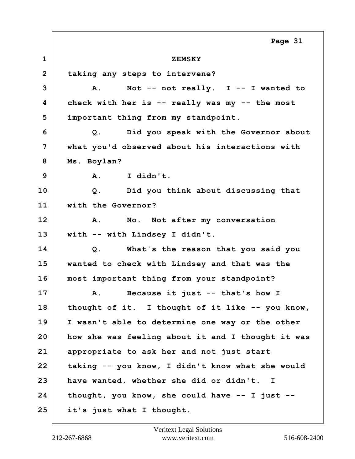**1 ZEMSKY 2 taking any steps to intervene? 3 A. Not -- not really. I -- I wanted to 4 check with her is -- really was my -- the most 5 important thing from my standpoint. 6 Q. Did you speak with the Governor about 7 what you'd observed about his interactions with 8 Ms. Boylan? 9 A. I didn't. 10 Q. Did you think about discussing that 11 with the Governor? 12 A. No. Not after my conversation 13 with -- with Lindsey I didn't. 14 Q. What's the reason that you said you 15 wanted to check with Lindsey and that was the 16 most important thing from your standpoint? 17 A. Because it just -- that's how I 18 thought of it. I thought of it like -- you know, 19 I wasn't able to determine one way or the other 20 how she was feeling about it and I thought it was 21 appropriate to ask her and not just start 22 taking -- you know, I didn't know what she would 23 have wanted, whether she did or didn't. I 24 thought, you know, she could have -- I just -- 25 it's just what I thought. Page 31**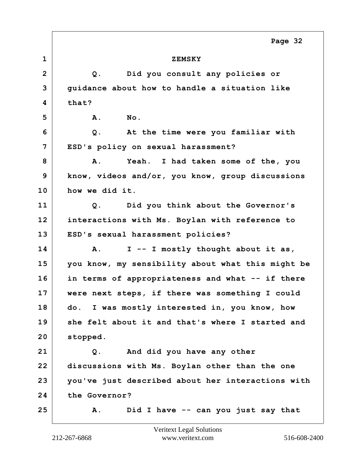**1 ZEMSKY 2 Q. Did you consult any policies or 3 guidance about how to handle a situation like 4 that? 5 A. No. 6 Q. At the time were you familiar with 7 ESD's policy on sexual harassment? 8 A. Yeah. I had taken some of the, you 9 know, videos and/or, you know, group discussions 10 how we did it. 11 Q. Did you think about the Governor's 12 interactions with Ms. Boylan with reference to 13 ESD's sexual harassment policies? 14 A. I -- I mostly thought about it as, 15 you know, my sensibility about what this might be 16 in terms of appropriateness and what -- if there 17 were next steps, if there was something I could 18 do. I was mostly interested in, you know, how 19 she felt about it and that's where I started and 20 stopped. 21 Q. And did you have any other 22 discussions with Ms. Boylan other than the one 23 you've just described about her interactions with 24 the Governor? 25 A. Did I have -- can you just say that Page 32**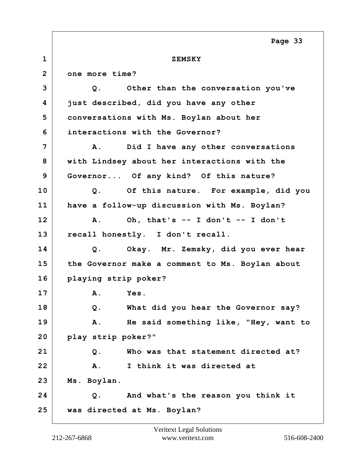**1 ZEMSKY 2 one more time? 3 Q. Other than the conversation you've 4 just described, did you have any other 5 conversations with Ms. Boylan about her 6 interactions with the Governor? 7 A. Did I have any other conversations 8 with Lindsey about her interactions with the 9 Governor... Of any kind? Of this nature? 10 Q. Of this nature. For example, did you 11 have a follow-up discussion with Ms. Boylan?** 12  $\vert$  A. Oh, that's  $-$  I don't  $-$  I don't **13 recall honestly. I don't recall. 14 Q. Okay. Mr. Zemsky, did you ever hear 15 the Governor make a comment to Ms. Boylan about 16 playing strip poker? 17 A. Yes. 18 Q. What did you hear the Governor say? 19 A. He said something like, "Hey, want to 20 play strip poker?" 21 Q. Who was that statement directed at? 22 A. I think it was directed at 23 Ms. Boylan. 24 Q. And what's the reason you think it 25 was directed at Ms. Boylan? Page 33**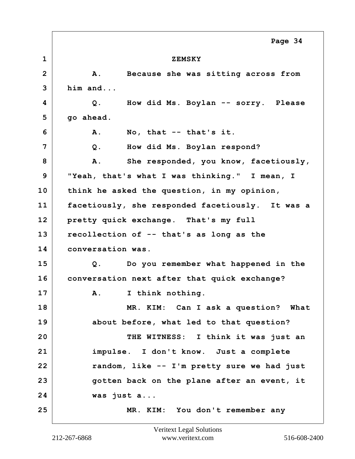**1 ZEMSKY 2 A. Because she was sitting across from 3 him and... 4 Q. How did Ms. Boylan -- sorry. Please 5 go ahead. 6 A. No, that -- that's it. 7 Q. How did Ms. Boylan respond?** 8 A. She responded, you know, facetiously, **9 "Yeah, that's what I was thinking." I mean, I 10 think he asked the question, in my opinion, 11 facetiously, she responded facetiously. It was a 12 pretty quick exchange. That's my full 13 recollection of -- that's as long as the 14 conversation was. 15 Q. Do you remember what happened in the 16 conversation next after that quick exchange? 17 A. I think nothing. 18 MR. KIM: Can I ask a question? What 19 about before, what led to that question? 20 THE WITNESS: I think it was just an 21 impulse. I don't know. Just a complete 22 random, like -- I'm pretty sure we had just 23 gotten back on the plane after an event, it 24 was just a... 25 MR. KIM: You don't remember any Page 34**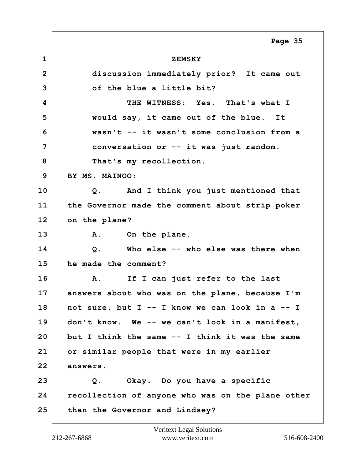**1 ZEMSKY 2 discussion immediately prior? It came out 3 of the blue a little bit? 4 THE WITNESS: Yes. That's what I 5 would say, it came out of the blue. It 6 wasn't -- it wasn't some conclusion from a 7 conversation or -- it was just random.** 8 That's my recollection. **9 BY MS. MAINOO: 10 Q. And I think you just mentioned that 11 the Governor made the comment about strip poker 12 on the plane?** 13 A. On the plane. **14 Q. Who else -- who else was there when 15 he made the comment? 16 A. If I can just refer to the last 17 answers about who was on the plane, because I'm 18 not sure, but I -- I know we can look in a -- I 19 don't know. We -- we can't look in a manifest, 20 but I think the same -- I think it was the same 21 or similar people that were in my earlier 22 answers. 23 Q. Okay. Do you have a specific 24 recollection of anyone who was on the plane other 25 than the Governor and Lindsey? Page 35**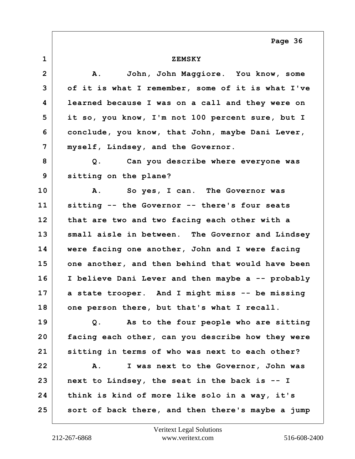**1 ZEMSKY 2 A. John, John Maggiore. You know, some 3 of it is what I remember, some of it is what I've 4 learned because I was on a call and they were on 5 it so, you know, I'm not 100 percent sure, but I 6 conclude, you know, that John, maybe Dani Lever, 7 myself, Lindsey, and the Governor. 8 Q. Can you describe where everyone was 9 sitting on the plane? 10 A. So yes, I can. The Governor was 11 sitting -- the Governor -- there's four seats 12 that are two and two facing each other with a 13 small aisle in between. The Governor and Lindsey 14 were facing one another, John and I were facing 15 one another, and then behind that would have been 16 I believe Dani Lever and then maybe a -- probably 17 a state trooper. And I might miss -- be missing 18 one person there, but that's what I recall. 19 Q. As to the four people who are sitting 20 facing each other, can you describe how they were 21 sitting in terms of who was next to each other? 22 A. I was next to the Governor, John was 23 next to Lindsey, the seat in the back is -- I 24 think is kind of more like solo in a way, it's 25 sort of back there, and then there's maybe a jump**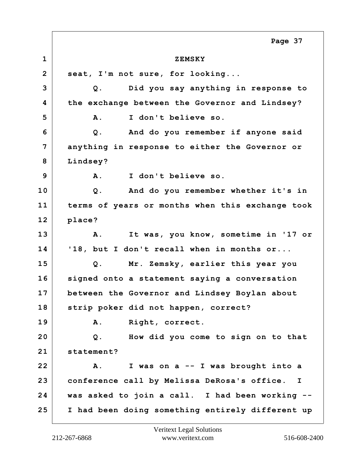**1 ZEMSKY 2 seat, I'm not sure, for looking... 3 Q. Did you say anything in response to 4 the exchange between the Governor and Lindsey? 5 A. I don't believe so. 6 Q. And do you remember if anyone said 7 anything in response to either the Governor or 8 Lindsey? 9 A. I don't believe so. 10 Q. And do you remember whether it's in 11 terms of years or months when this exchange took 12 place? 13 A. It was, you know, sometime in '17 or 14 '18, but I don't recall when in months or... 15 Q. Mr. Zemsky, earlier this year you 16 signed onto a statement saying a conversation 17 between the Governor and Lindsey Boylan about 18 strip poker did not happen, correct? 19 A. Right, correct. 20 Q. How did you come to sign on to that 21 statement? 22 A. I was on a -- I was brought into a 23 conference call by Melissa DeRosa's office. I 24 was asked to join a call. I had been working -- 25 I had been doing something entirely different up Page 37**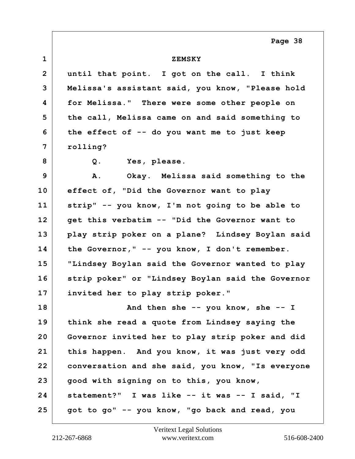| $\mathbf{1}$    | <b>ZEMSKY</b>                                     |
|-----------------|---------------------------------------------------|
| $\overline{2}$  | until that point. I got on the call. I think      |
| 3               | Melissa's assistant said, you know, "Please hold  |
| 4               | for Melissa." There were some other people on     |
| 5               | the call, Melissa came on and said something to   |
| 6               | the effect of -- do you want me to just keep      |
| 7               | rolling?                                          |
| 8               | $Q$ .<br>Yes, please.                             |
| 9               | Α.<br>Okay. Melissa said something to the         |
| 10              | effect of, "Did the Governor want to play         |
| 11              | strip" -- you know, I'm not going to be able to   |
| 12 <sub>2</sub> | get this verbatim -- "Did the Governor want to    |
| 13              | play strip poker on a plane? Lindsey Boylan said  |
| 14              | the Governor," -- you know, I don't remember.     |
| 15              | "Lindsey Boylan said the Governor wanted to play  |
| 16              | strip poker" or "Lindsey Boylan said the Governor |
| 17              | invited her to play strip poker."                 |
| 18              | And then she $-$ you know, she $-$ I              |
| 19              | think she read a quote from Lindsey saying the    |
| 20              | Governor invited her to play strip poker and did  |
| 21              | this happen. And you know, it was just very odd   |
| 22              | conversation and she said, you know, "Is everyone |
| 23              | good with signing on to this, you know,           |
| 24              | statement?" I was like -- it was -- I said, "I    |
| 25              | got to go" -- you know, "go back and read, you    |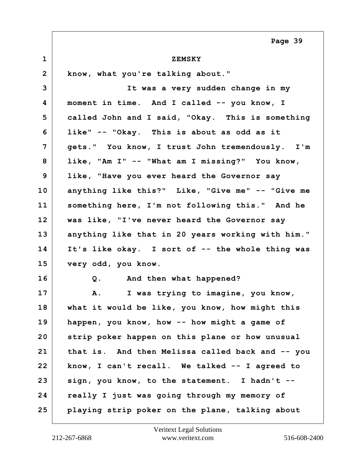| $\mathbf 1$    | <b>ZEMSKY</b>                                     |
|----------------|---------------------------------------------------|
| $\overline{2}$ | know, what you're talking about."                 |
| 3              | It was a very sudden change in my                 |
| 4              | moment in time. And I called -- you know, I       |
| 5              | called John and I said, "Okay. This is something  |
| 6              | like" -- "Okay. This is about as odd as it        |
| 7              | gets." You know, I trust John tremendously. I'm   |
| 8              | like, "Am I" -- "What am I missing?" You know,    |
| 9              | like, "Have you ever heard the Governor say       |
| 10             | anything like this?" Like, "Give me" -- "Give me  |
| 11             | something here, I'm not following this." And he   |
| 12             | was like, "I've never heard the Governor say      |
| 13             | anything like that in 20 years working with him." |
| 14             | It's like okay. I sort of -- the whole thing was  |
| 15             | very odd, you know.                               |
| 16             | And then what happened?<br>Q.                     |
| 17             | I was trying to imagine, you know,<br>Α.          |
| 18             | what it would be like, you know, how might this   |
| 19             | happen, you know, how -- how might a game of      |
| 20             | strip poker happen on this plane or how unusual   |
| 21             | that is. And then Melissa called back and -- you  |
| 22             | know, I can't recall. We talked -- I agreed to    |
| 23             | sign, you know, to the statement. I hadn't --     |
| 24             | really I just was going through my memory of      |
| 25             | playing strip poker on the plane, talking about   |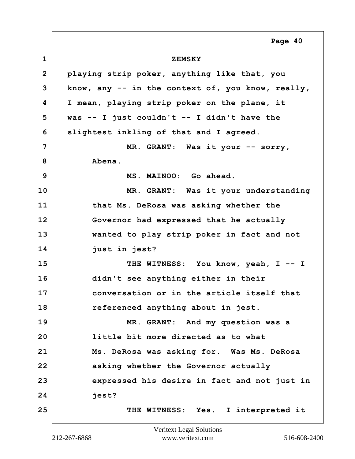**1 ZEMSKY 2 playing strip poker, anything like that, you 3 know, any -- in the context of, you know, really, 4 I mean, playing strip poker on the plane, it 5 was -- I just couldn't -- I didn't have the 6 slightest inkling of that and I agreed. 7 MR. GRANT: Was it your -- sorry, 8 Abena. 9** MS. MAINOO: Go ahead. **10 MR. GRANT: Was it your understanding 11 that Ms. DeRosa was asking whether the 12 Governor had expressed that he actually 13 wanted to play strip poker in fact and not 14 just in jest?** 15 THE WITNESS: You know, yeah, I -- I **16 didn't see anything either in their 17 conversation or in the article itself that 18 referenced anything about in jest. 19 MR. GRANT: And my question was a 20 little bit more directed as to what 21 Ms. DeRosa was asking for. Was Ms. DeRosa 22 asking whether the Governor actually 23 expressed his desire in fact and not just in 24 jest?** 25 THE WITNESS: Yes. I interpreted it **Page 40**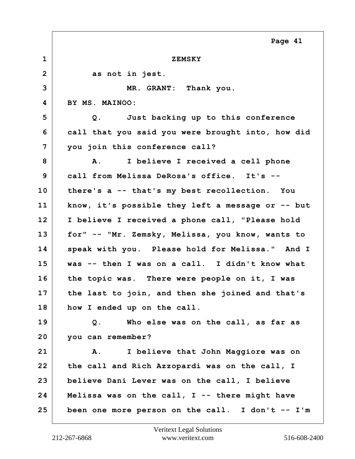**1 ZEMSKY** 2 as not in jest. **3 MR. GRANT: Thank you. 4 BY MS. MAINOO: 5 Q. Just backing up to this conference 6 call that you said you were brought into, how did 7 you join this conference call? 8 A. I believe I received a cell phone 9 call from Melissa DeRosa's office. It's -- 10 there's a -- that's my best recollection. You 11 know, it's possible they left a message or -- but 12 I believe I received a phone call, "Please hold 13 for" -- "Mr. Zemsky, Melissa, you know, wants to 14 speak with you. Please hold for Melissa." And I 15 was -- then I was on a call. I didn't know what 16 the topic was. There were people on it, I was 17 the last to join, and then she joined and that's 18 how I ended up on the call. 19 Q. Who else was on the call, as far as 20 you can remember? 21 A. I believe that John Maggiore was on 22 the call and Rich Azzopardi was on the call, I 23 believe Dani Lever was on the call, I believe 24 Melissa was on the call, I -- there might have 25 been one more person on the call. I don't -- I'm Page 41**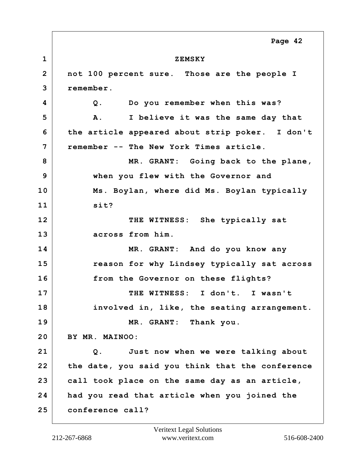**1 ZEMSKY 2 not 100 percent sure. Those are the people I 3 remember. 4 Q. Do you remember when this was? 5 A. I believe it was the same day that 6 the article appeared about strip poker. I don't 7 remember -- The New York Times article. 8 MR. GRANT: Going back to the plane, 9 when you flew with the Governor and 10 Ms. Boylan, where did Ms. Boylan typically 11 sit?** 12 THE WITNESS: She typically sat **13 across from him. 14 MR. GRANT: And do you know any 15 reason for why Lindsey typically sat across 16 from the Governor on these flights? 17 THE WITNESS: I don't. I wasn't 18 involved in, like, the seating arrangement. 19 MR. GRANT: Thank you. 20 BY MR. MAINOO: 21 Q. Just now when we were talking about 22 the date, you said you think that the conference 23 call took place on the same day as an article, 24 had you read that article when you joined the 25 conference call? Page 42**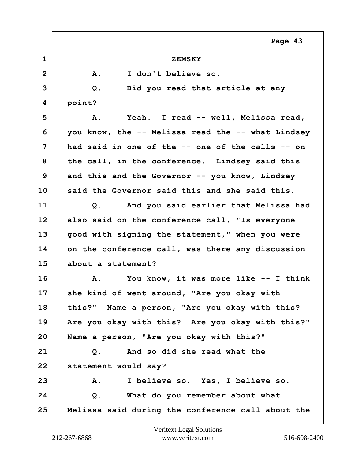| <b>ZEMSKY</b>                                     |
|---------------------------------------------------|
| I don't believe so.<br>Α.                         |
| Did you read that article at any<br>$Q$ .         |
| point?                                            |
| Yeah. I read -- well, Melissa read,<br>Α.         |
| you know, the -- Melissa read the -- what Lindsey |
| had said in one of the -- one of the calls -- on  |
| the call, in the conference. Lindsey said this    |
| and this and the Governor -- you know, Lindsey    |
| said the Governor said this and she said this.    |
| And you said earlier that Melissa had<br>Q.       |
| also said on the conference call, "Is everyone    |
| good with signing the statement," when you were   |
| on the conference call, was there any discussion  |
| about a statement?                                |
| You know, it was more like -- I think<br>Α.       |
| she kind of went around, "Are you okay with       |
| this?" Name a person, "Are you okay with this?    |
| Are you okay with this? Are you okay with this?"  |
| Name a person, "Are you okay with this?"          |
| And so did she read what the<br>Q.                |
| statement would say?                              |
| I believe so. Yes, I believe so.<br>Α.            |
| What do you remember about what<br>Q.             |
| Melissa said during the conference call about the |
|                                                   |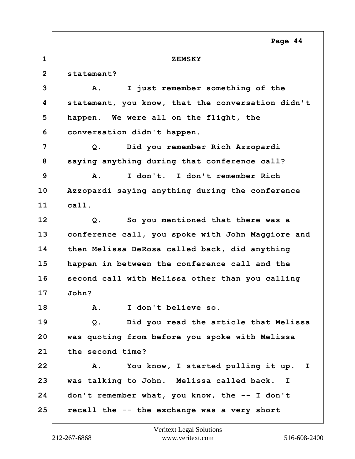## **1 ZEMSKY**

**2 statement?**

**3 A. I just remember something of the 4 statement, you know, that the conversation didn't 5 happen. We were all on the flight, the 6 conversation didn't happen. 7 Q. Did you remember Rich Azzopardi** 8 saying anything during that conference call? **9 A. I don't. I don't remember Rich 10 Azzopardi saying anything during the conference 11 call. 12 Q. So you mentioned that there was a 13 conference call, you spoke with John Maggiore and 14 then Melissa DeRosa called back, did anything 15 happen in between the conference call and the 16 second call with Melissa other than you calling 17 John? 18 A. I don't believe so. 19 Q. Did you read the article that Melissa 20 was quoting from before you spoke with Melissa 21 the second time? 22 A. You know, I started pulling it up. I 23 was talking to John. Melissa called back. I 24 don't remember what, you know, the -- I don't 25 recall the -- the exchange was a very short**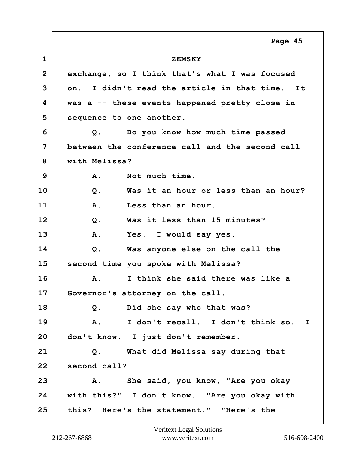**1 ZEMSKY 2 exchange, so I think that's what I was focused 3 on. I didn't read the article in that time. It 4 was a -- these events happened pretty close in 5 sequence to one another. 6 Q. Do you know how much time passed 7 between the conference call and the second call 8 with Melissa? 9 A. Not much time. 10 Q. Was it an hour or less than an hour? 11 A. Less than an hour. 12 Q. Was it less than 15 minutes? 13 A. Yes. I would say yes. 14 Q. Was anyone else on the call the 15 second time you spoke with Melissa? 16 A. I think she said there was like a 17 Governor's attorney on the call. 18 Q. Did she say who that was? 19 A. I don't recall. I don't think so. I 20 don't know. I just don't remember. 21 Q. What did Melissa say during that** 22 second call? **23 A. She said, you know, "Are you okay 24 with this?" I don't know. "Are you okay with 25 this? Here's the statement." "Here's the Page 45**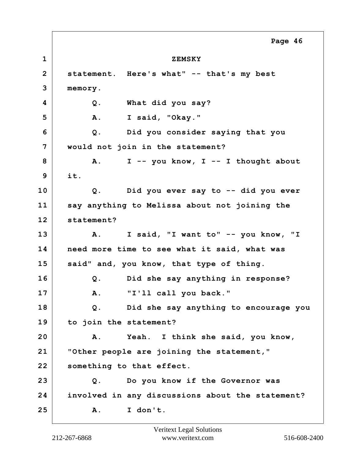**1 ZEMSKY 2 statement. Here's what" -- that's my best 3 memory. 4 Q. What did you say? 5 A. I said, "Okay." 6 Q. Did you consider saying that you 7 would not join in the statement? 8 A. I -- you know, I -- I thought about 9 it. 10 Q. Did you ever say to -- did you ever 11 say anything to Melissa about not joining the 12 statement? 13 A. I said, "I want to" -- you know, "I 14 need more time to see what it said, what was 15 said" and, you know, that type of thing. 16 Q. Did she say anything in response? 17 A. "I'll call you back." 18 Q. Did she say anything to encourage you 19 to join the statement? 20 A. Yeah. I think she said, you know, 21 "Other people are joining the statement," 22 something to that effect. 23 Q. Do you know if the Governor was 24 involved in any discussions about the statement? 25 A. I don't. Page 46**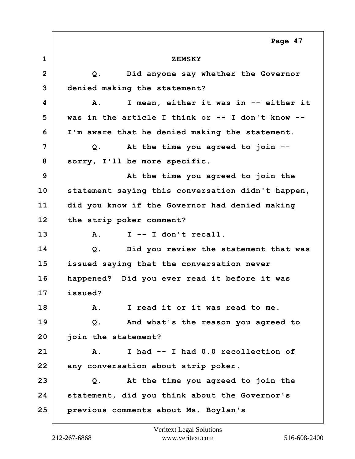**1 ZEMSKY 2 Q. Did anyone say whether the Governor 3 denied making the statement? 4 A. I mean, either it was in -- either it 5 was in the article I think or -- I don't know -- 6 I'm aware that he denied making the statement. 7 Q. At the time you agreed to join --** 8 | sorry, I'll be more specific. **9 At the time you agreed to join the 10 statement saying this conversation didn't happen, 11 did you know if the Governor had denied making 12 the strip poker comment? 13 A. I -- I don't recall. 14 Q. Did you review the statement that was 15 issued saying that the conversation never 16 happened? Did you ever read it before it was 17 issued? 18 A. I read it or it was read to me. 19 Q. And what's the reason you agreed to 20 join the statement? 21 A. I had -- I had 0.0 recollection of 22 any conversation about strip poker. 23 Q. At the time you agreed to join the 24 statement, did you think about the Governor's 25 previous comments about Ms. Boylan's Page 47**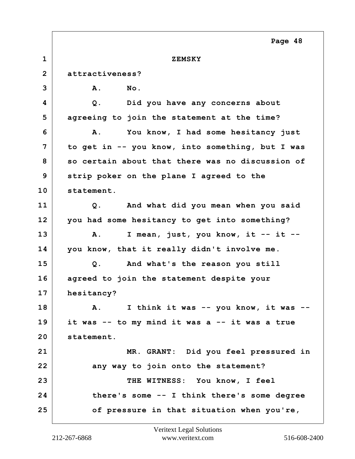**1 ZEMSKY 2 attractiveness? 3 A. No. 4 Q. Did you have any concerns about 5 agreeing to join the statement at the time? 6 A. You know, I had some hesitancy just 7 to get in -- you know, into something, but I was 8 so certain about that there was no discussion of 9 strip poker on the plane I agreed to the 10 statement. 11 Q. And what did you mean when you said 12 you had some hesitancy to get into something? 13 A. I mean, just, you know, it -- it -- 14 you know, that it really didn't involve me. 15 Q. And what's the reason you still 16 agreed to join the statement despite your 17 hesitancy? 18 A. I think it was -- you know, it was -- 19 it was -- to my mind it was a -- it was a true 20 statement. 21 MR. GRANT: Did you feel pressured in** 22 **any way to join onto the statement? 23 THE WITNESS: You know, I feel 24 there's some -- I think there's some degree 25 of pressure in that situation when you're, Page 48**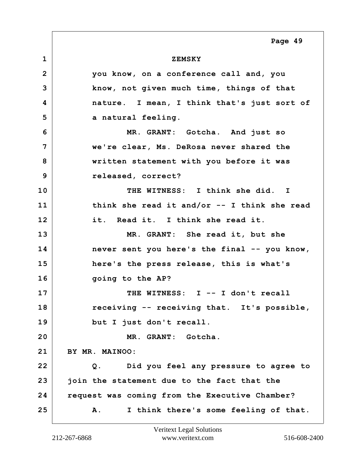## **1 ZEMSKY**

**2 you know, on a conference call and, you 3 know, not given much time, things of that 4 nature. I mean, I think that's just sort of** 5 a natural feeling. **6 MR. GRANT: Gotcha. And just so 7 we're clear, Ms. DeRosa never shared the 8 written statement with you before it was 9 released, correct? 10 THE WITNESS: I think she did. I 11 think she read it and/or -- I think she read 12 it. Read it. I think she read it. 13 MR. GRANT: She read it, but she 14 never sent you here's the final -- you know, 15 here's the press release, this is what's 16 going to the AP? 17 THE WITNESS: I -- I don't recall 18 receiving -- receiving that. It's possible, 19 but I just don't recall. 20 MR. GRANT: Gotcha. 21 BY MR. MAINOO: 22 Q. Did you feel any pressure to agree to 23 join the statement due to the fact that the 24 request was coming from the Executive Chamber? 25 A. I think there's some feeling of that.**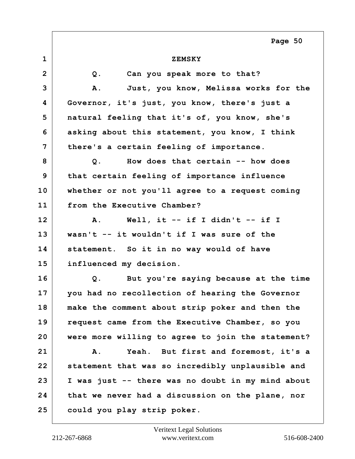| $\mathbf 1$  | <b>ZEMSKY</b>                                     |
|--------------|---------------------------------------------------|
| $\mathbf{2}$ | Can you speak more to that?<br>Q.                 |
| 3            | Just, you know, Melissa works for the<br>Α.       |
| 4            | Governor, it's just, you know, there's just a     |
| 5            | natural feeling that it's of, you know, she's     |
| 6            | asking about this statement, you know, I think    |
| 7            | there's a certain feeling of importance.          |
| 8            | How does that certain -- how does<br>Q.           |
| 9            | that certain feeling of importance influence      |
| 10           | whether or not you'll agree to a request coming   |
| 11           | from the Executive Chamber?                       |
| 12           | Well, it $--$ if I didn't $--$ if I<br>Α.         |
| 13           | wasn't -- it wouldn't if I was sure of the        |
| 14           | statement. So it in no way would of have          |
| 15           | influenced my decision.                           |
| 16           | But you're saying because at the time<br>$Q$ .    |
| 17           | you had no recollection of hearing the Governor   |
| 18           | make the comment about strip poker and then the   |
| 19           | request came from the Executive Chamber, so you   |
| 20           | were more willing to agree to join the statement? |
| 21           | Yeah. But first and foremost, it's a<br>Α.        |
| 22           | statement that was so incredibly unplausible and  |
| 23           | I was just -- there was no doubt in my mind about |
| 24           | that we never had a discussion on the plane, nor  |
| 25           | could you play strip poker.                       |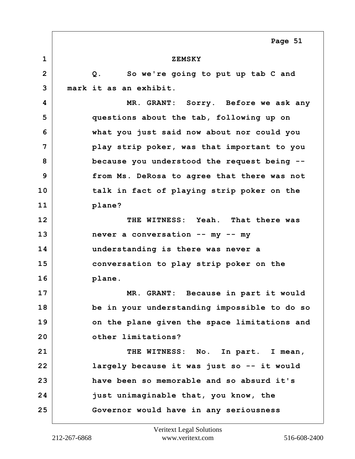**1 ZEMSKY 2 Q. So we're going to put up tab C and 3 mark it as an exhibit. 4 MR. GRANT: Sorry. Before we ask any 5 questions about the tab, following up on 6 what you just said now about nor could you 7 play strip poker, was that important to you 8 because you understood the request being -- 9 from Ms. DeRosa to agree that there was not 10 talk in fact of playing strip poker on the 11 plane? 12 THE WITNESS: Yeah. That there was 13 never a conversation -- my -- my 14 understanding is there was never a 15 conversation to play strip poker on the 16 plane. 17 MR. GRANT: Because in part it would 18 be in your understanding impossible to do so 19 on the plane given the space limitations and 20 other limitations?** 21 THE WITNESS: No. In part. I mean, **22 largely because it was just so -- it would 23 have been so memorable and so absurd it's 24 just unimaginable that, you know, the 25 Governor would have in any seriousness Page 51**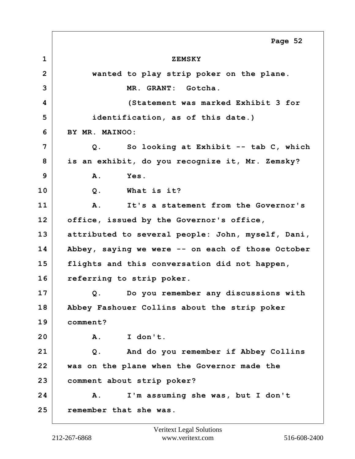**1 ZEMSKY 2 wanted to play strip poker on the plane. 3 MR. GRANT: Gotcha. 4 (Statement was marked Exhibit 3 for 5 identification, as of this date.) 6 BY MR. MAINOO: 7 Q. So looking at Exhibit -- tab C, which 8 is an exhibit, do you recognize it, Mr. Zemsky? 9 A. Yes. 10 Q. What is it? 11 A. It's a statement from the Governor's 12 office, issued by the Governor's office, 13 attributed to several people: John, myself, Dani, 14 Abbey, saying we were -- on each of those October 15 flights and this conversation did not happen, 16 referring to strip poker. 17 Q. Do you remember any discussions with 18 Abbey Fashouer Collins about the strip poker 19 comment? 20 A. I don't. 21 Q. And do you remember if Abbey Collins 22 was on the plane when the Governor made the 23 comment about strip poker? 24 A. I'm assuming she was, but I don't 25 remember that she was. Page 52**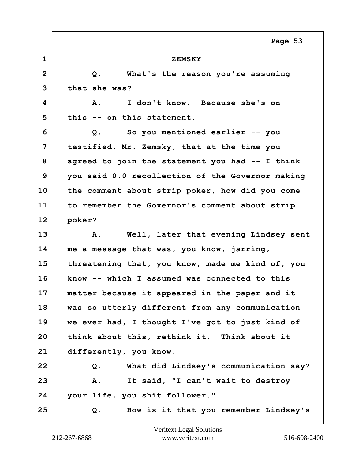| $\mathbf 1$    | <b>ZEMSKY</b>                                    |
|----------------|--------------------------------------------------|
| $\overline{2}$ | Q.<br>What's the reason you're assuming          |
| 3              | that she was?                                    |
| 4              | I don't know. Because she's on<br>Α.             |
| 5              | this -- on this statement.                       |
| 6              | So you mentioned earlier -- you<br>Q.            |
| 7              | testified, Mr. Zemsky, that at the time you      |
| 8              | agreed to join the statement you had -- I think  |
| 9              | you said 0.0 recollection of the Governor making |
| 10             | the comment about strip poker, how did you come  |
| 11             | to remember the Governor's comment about strip   |
| 12             | poker?                                           |
| 13             | Well, later that evening Lindsey sent<br>Α.      |
| 14             | me a message that was, you know, jarring,        |
| 15             | threatening that, you know, made me kind of, you |
| 16             | know -- which I assumed was connected to this    |
| 17             | matter because it appeared in the paper and it   |
| 18             | was so utterly different from any communication  |
| 19             | we ever had, I thought I've got to just kind of  |
| 20             | think about this, rethink it. Think about it     |
| 21             | differently, you know.                           |
| 22             | What did Lindsey's communication say?<br>Q.      |
| 23             | It said, "I can't wait to destroy<br>Α.          |
| 24             | your life, you shit follower."                   |
| 25             | How is it that you remember Lindsey's<br>Q.      |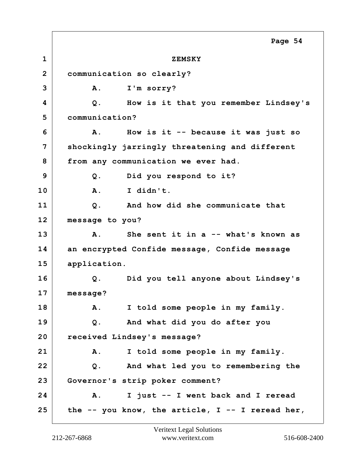**1 ZEMSKY 2 communication so clearly? 3 A. I'm sorry? 4 Q. How is it that you remember Lindsey's 5 communication? 6 A. How is it -- because it was just so 7 shockingly jarringly threatening and different 8 from any communication we ever had. 9 Q. Did you respond to it? 10 A. I didn't. 11 Q. And how did she communicate that 12 message to you? 13 A. She sent it in a -- what's known as 14 an encrypted Confide message, Confide message 15 application. 16 Q. Did you tell anyone about Lindsey's 17 message? 18 A. I told some people in my family. 19 Q. And what did you do after you 20 received Lindsey's message? 21 A. I told some people in my family. 22 Q. And what led you to remembering the 23 Governor's strip poker comment? 24 A. I just -- I went back and I reread 25 the -- you know, the article, I -- I reread her, Page 54**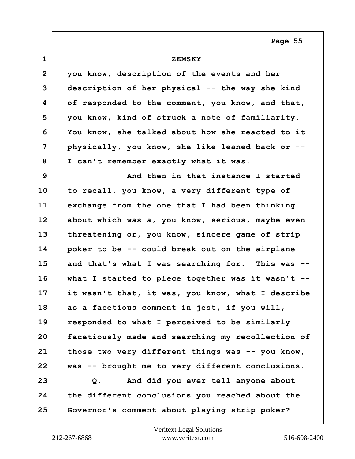| $\mathbf{1}$    | <b>ZEMSKY</b>                                        |
|-----------------|------------------------------------------------------|
| $\overline{2}$  | you know, description of the events and her          |
| 3               | description of her physical -- the way she kind      |
| 4               | of responded to the comment, you know, and that,     |
| 5               | you know, kind of struck a note of familiarity.      |
| 6               | You know, she talked about how she reacted to it     |
| 7               | physically, you know, she like leaned back or --     |
| 8               | I can't remember exactly what it was.                |
| 9               | And then in that instance I started                  |
| 10              | to recall, you know, a very different type of        |
| 11              | exchange from the one that I had been thinking       |
| 12 <sub>2</sub> | about which was a, you know, serious, maybe even     |
| 13              | threatening or, you know, sincere game of strip      |
| 14              | poker to be -- could break out on the airplane       |
| 15              | and that's what I was searching for. This was --     |
| 16              | what I started to piece together was it wasn't $-$ - |
| 17              | it wasn't that, it was, you know, what I describe    |
| 18              | as a facetious comment in jest, if you will,         |
| 19              | responded to what I perceived to be similarly        |
| 20              | facetiously made and searching my recollection of    |
| 21              | those two very different things was -- you know,     |
| 22              | was -- brought me to very different conclusions.     |
| 23              | And did you ever tell anyone about<br>Q.             |
| 24              | the different conclusions you reached about the      |
| 25              | Governor's comment about playing strip poker?        |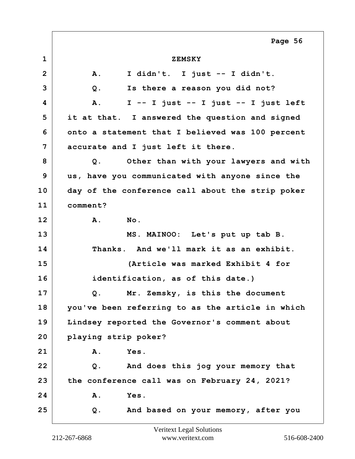**1 ZEMSKY 2 A. I didn't. I just -- I didn't. 3 Q. Is there a reason you did not? 4 A. I -- I just -- I just -- I just left 5 it at that. I answered the question and signed 6 onto a statement that I believed was 100 percent 7 accurate and I just left it there. 8 Q. Other than with your lawyers and with 9 us, have you communicated with anyone since the 10 day of the conference call about the strip poker 11 comment? 12 A. No. 13 MS. MAINOO: Let's put up tab B. 14 Thanks. And we'll mark it as an exhibit. 15 (Article was marked Exhibit 4 for 16 identification, as of this date.) 17 Q. Mr. Zemsky, is this the document 18 you've been referring to as the article in which 19 Lindsey reported the Governor's comment about 20 playing strip poker? 21 A. Yes. 22 Q. And does this jog your memory that 23 the conference call was on February 24, 2021? 24 A. Yes. 25 Q. And based on your memory, after you Page 56**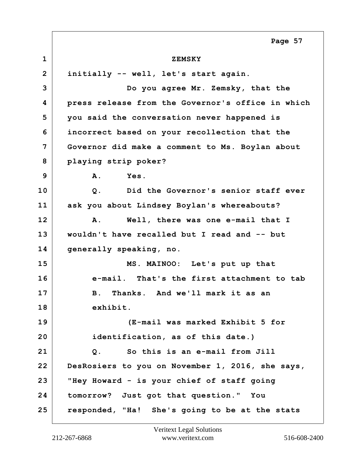**1 ZEMSKY 2 initially -- well, let's start again. 3 Do you agree Mr. Zemsky, that the 4 press release from the Governor's office in which 5 you said the conversation never happened is 6 incorrect based on your recollection that the 7 Governor did make a comment to Ms. Boylan about 8 playing strip poker? 9 A. Yes. 10 Q. Did the Governor's senior staff ever 11 ask you about Lindsey Boylan's whereabouts? 12 A. Well, there was one e-mail that I 13 wouldn't have recalled but I read and -- but 14 generally speaking, no. 15 MS. MAINOO: Let's put up that 16 e-mail. That's the first attachment to tab 17 B. Thanks. And we'll mark it as an 18 exhibit. 19 (E-mail was marked Exhibit 5 for 20 identification, as of this date.) 21 Q. So this is an e-mail from Jill 22 DesRosiers to you on November 1, 2016, she says, 23 "Hey Howard - is your chief of staff going 24 tomorrow? Just got that question." You 25 responded, "Ha! She's going to be at the stats Page 57**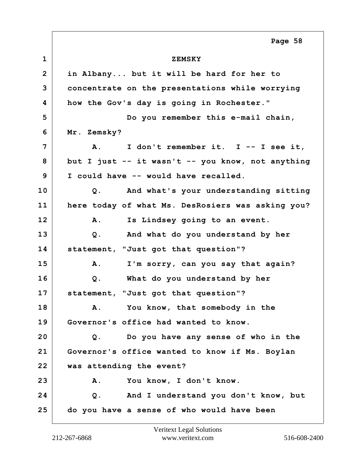**1 ZEMSKY 2 in Albany... but it will be hard for her to 3 concentrate on the presentations while worrying 4 how the Gov's day is going in Rochester." 5 Do you remember this e-mail chain, 6 Mr. Zemsky? 7 A. I don't remember it. I -- I see it, 8 but I just -- it wasn't -- you know, not anything 9 I could have -- would have recalled. 10 Q. And what's your understanding sitting 11 here today of what Ms. DesRosiers was asking you? 12 A. Is Lindsey going to an event. 13 Q. And what do you understand by her 14 statement, "Just got that question"? 15 A. I'm sorry, can you say that again? 16 Q. What do you understand by her 17 statement, "Just got that question"? 18 A. You know, that somebody in the 19 Governor's office had wanted to know. 20 Q. Do you have any sense of who in the 21 Governor's office wanted to know if Ms. Boylan 22 was attending the event? 23 A. You know, I don't know. 24 Q. And I understand you don't know, but 25 do you have a sense of who would have been Page 58**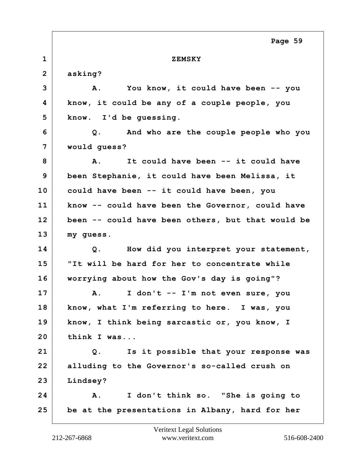**1 ZEMSKY 2 asking? 3 A. You know, it could have been -- you 4 know, it could be any of a couple people, you 5 know. I'd be guessing. 6 Q. And who are the couple people who you 7 would guess? 8 A. It could have been -- it could have 9 been Stephanie, it could have been Melissa, it 10 could have been -- it could have been, you 11 know -- could have been the Governor, could have 12 been -- could have been others, but that would be 13 my guess. 14 Q. How did you interpret your statement, 15 "It will be hard for her to concentrate while 16 worrying about how the Gov's day is going"? 17 A. I don't -- I'm not even sure, you 18 know, what I'm referring to here. I was, you 19 know, I think being sarcastic or, you know, I 20 think I was... 21 Q. Is it possible that your response was 22 alluding to the Governor's so-called crush on 23 Lindsey? 24 A. I don't think so. "She is going to 25 be at the presentations in Albany, hard for her Page 59**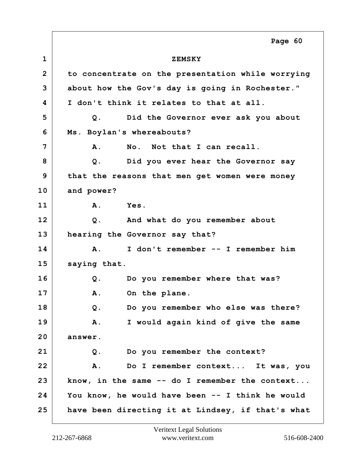**1 ZEMSKY 2 to concentrate on the presentation while worrying 3 about how the Gov's day is going in Rochester." 4 I don't think it relates to that at all. 5 Q. Did the Governor ever ask you about 6 Ms. Boylan's whereabouts? 7 A. No. Not that I can recall. 8 Q. Did you ever hear the Governor say 9 that the reasons that men get women were money 10 and power? 11 A. Yes. 12 Q. And what do you remember about 13 hearing the Governor say that? 14 A. I don't remember -- I remember him 15 saying that. 16 Q. Do you remember where that was?** 17 A. On the plane. **18 Q. Do you remember who else was there? 19 A. I would again kind of give the same 20 answer. 21 Q. Do you remember the context? 22 A. Do I remember context... It was, you 23 know, in the same -- do I remember the context... 24 You know, he would have been -- I think he would 25 have been directing it at Lindsey, if that's what Page 60**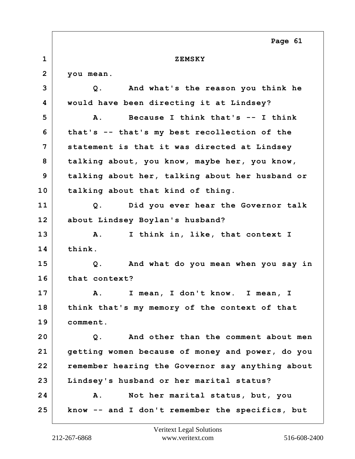## **1 ZEMSKY**

**2 you mean.**

**3 Q. And what's the reason you think he 4 would have been directing it at Lindsey? 5 A. Because I think that's -- I think 6 that's -- that's my best recollection of the 7 statement is that it was directed at Lindsey 8 talking about, you know, maybe her, you know, 9 talking about her, talking about her husband or 10 talking about that kind of thing. 11 Q. Did you ever hear the Governor talk 12 about Lindsey Boylan's husband? 13 A. I think in, like, that context I 14 think. 15 Q. And what do you mean when you say in 16 that context? 17 A. I mean, I don't know. I mean, I 18 think that's my memory of the context of that 19 comment. 20 Q. And other than the comment about men 21 getting women because of money and power, do you 22 remember hearing the Governor say anything about 23 Lindsey's husband or her marital status? 24 A. Not her marital status, but, you 25 know -- and I don't remember the specifics, but**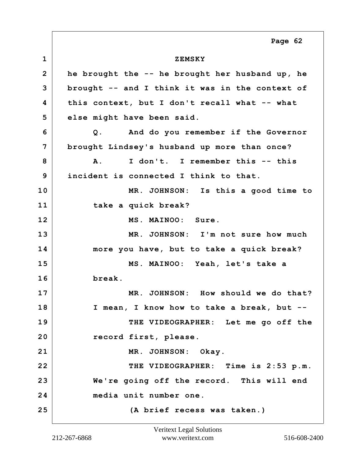**1 ZEMSKY 2 he brought the -- he brought her husband up, he 3 brought -- and I think it was in the context of 4 this context, but I don't recall what -- what 5 else might have been said. 6 Q. And do you remember if the Governor 7 brought Lindsey's husband up more than once? 8 A. I don't. I remember this -- this 9 incident is connected I think to that. 10 MR. JOHNSON: Is this a good time to 11 take a quick break? 12 MS. MAINOO: Sure. 13 MR. JOHNSON: I'm not sure how much 14 more you have, but to take a quick break? 15 MS. MAINOO: Yeah, let's take a 16 break. 17 MR. JOHNSON: How should we do that? 18 I mean, I know how to take a break, but -- 19 THE VIDEOGRAPHER: Let me go off the 20 record first, please.** 21 MR. JOHNSON: Okay. **22 THE VIDEOGRAPHER: Time is 2:53 p.m. 23 We're going off the record. This will end 24 media unit number one. 25 (A brief recess was taken.) Page 62**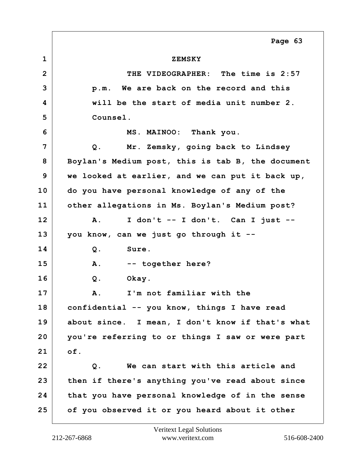**1 ZEMSKY 2 THE VIDEOGRAPHER: The time is 2:57 3 p.m. We are back on the record and this 4 will be the start of media unit number 2. 5 Counsel. 6 MS. MAINOO: Thank you. 7 Q. Mr. Zemsky, going back to Lindsey 8 Boylan's Medium post, this is tab B, the document 9 we looked at earlier, and we can put it back up, 10 do you have personal knowledge of any of the 11 other allegations in Ms. Boylan's Medium post? 12 A. I don't -- I don't. Can I just -- 13 you know, can we just go through it -- 14 Q. Sure. 15 A. -- together here? 16 Q. Okay. 17 A. I'm not familiar with the 18 confidential -- you know, things I have read 19 about since. I mean, I don't know if that's what 20 you're referring to or things I saw or were part 21 of. 22 Q. We can start with this article and 23 then if there's anything you've read about since 24 that you have personal knowledge of in the sense 25 of you observed it or you heard about it other Page 63**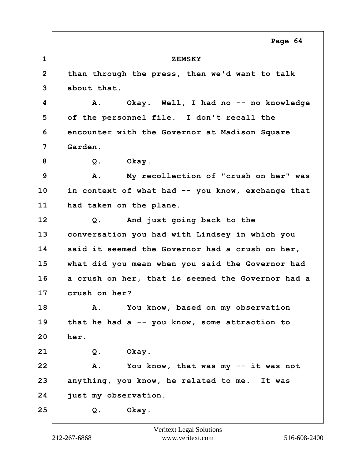**1 ZEMSKY 2 than through the press, then we'd want to talk 3 about that. 4 A. Okay. Well, I had no -- no knowledge 5 of the personnel file. I don't recall the 6 encounter with the Governor at Madison Square 7 Garden. 8 Q. Okay. 9 A. My recollection of "crush on her" was 10 in context of what had -- you know, exchange that 11 had taken on the plane. 12 Q. And just going back to the 13 conversation you had with Lindsey in which you 14 said it seemed the Governor had a crush on her, 15 what did you mean when you said the Governor had 16 a crush on her, that is seemed the Governor had a 17 crush on her? 18 A. You know, based on my observation 19 that he had a -- you know, some attraction to 20 her. 21 Q. Okay. 22 A. You know, that was my -- it was not 23 anything, you know, he related to me. It was 24 just my observation. 25 Q. Okay.**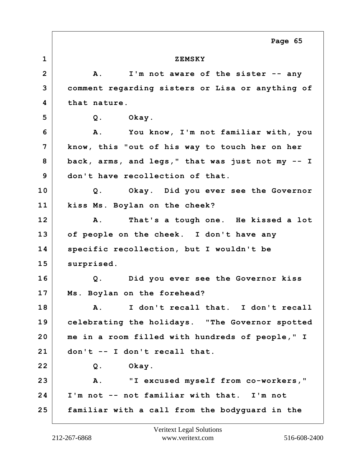**1 ZEMSKY 2 A. I'm not aware of the sister -- any 3 comment regarding sisters or Lisa or anything of 4 that nature. 5 Q. Okay. 6 A. You know, I'm not familiar with, you 7 know, this "out of his way to touch her on her 8 back, arms, and legs," that was just not my -- I 9 don't have recollection of that. 10 Q. Okay. Did you ever see the Governor 11 kiss Ms. Boylan on the cheek? 12 A. That's a tough one. He kissed a lot 13 of people on the cheek. I don't have any 14 specific recollection, but I wouldn't be** 15 surprised. **16 Q. Did you ever see the Governor kiss 17 Ms. Boylan on the forehead? 18 A. I don't recall that. I don't recall 19 celebrating the holidays. "The Governor spotted 20 me in a room filled with hundreds of people," I 21 don't -- I don't recall that. 22 Q. Okay. 23 A. "I excused myself from co-workers," 24 I'm not -- not familiar with that. I'm not 25 familiar with a call from the bodyguard in the Page 65**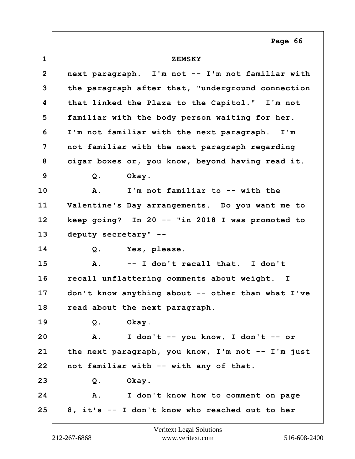**1 ZEMSKY 2 next paragraph. I'm not -- I'm not familiar with 3 the paragraph after that, "underground connection 4 that linked the Plaza to the Capitol." I'm not 5 familiar with the body person waiting for her. 6 I'm not familiar with the next paragraph. I'm 7 not familiar with the next paragraph regarding 8 cigar boxes or, you know, beyond having read it. 9 Q. Okay. 10 A. I'm not familiar to -- with the 11 Valentine's Day arrangements. Do you want me to 12 keep going? In 20 -- "in 2018 I was promoted to 13 deputy secretary" -- 14 Q. Yes, please. 15 A. -- I don't recall that. I don't 16 recall unflattering comments about weight. I 17 don't know anything about -- other than what I've 18 read about the next paragraph. 19 Q. Okay. 20 A. I don't -- you know, I don't -- or 21 the next paragraph, you know, I'm not -- I'm just 22 not familiar with -- with any of that. 23 Q. Okay. 24 A. I don't know how to comment on page 25 8, it's -- I don't know who reached out to her Page 66**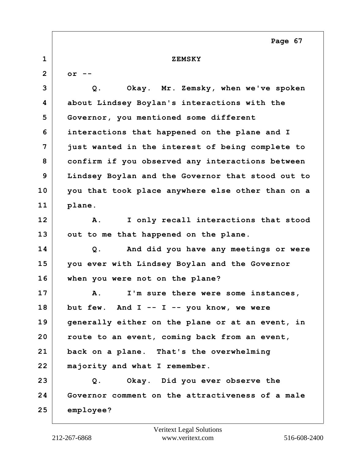**1 ZEMSKY 2 or -- 3 Q. Okay. Mr. Zemsky, when we've spoken 4 about Lindsey Boylan's interactions with the 5 Governor, you mentioned some different 6 interactions that happened on the plane and I 7 just wanted in the interest of being complete to 8 confirm if you observed any interactions between 9 Lindsey Boylan and the Governor that stood out to 10 you that took place anywhere else other than on a 11 plane. 12 A. I only recall interactions that stood 13 out to me that happened on the plane. 14 Q. And did you have any meetings or were 15 you ever with Lindsey Boylan and the Governor 16 when you were not on the plane? 17 A. I'm sure there were some instances, 18 but few. And I -- I -- you know, we were 19 generally either on the plane or at an event, in 20 route to an event, coming back from an event, 21 back on a plane. That's the overwhelming 22 majority and what I remember. 23 Q. Okay. Did you ever observe the 24 Governor comment on the attractiveness of a male 25 employee? Page 67**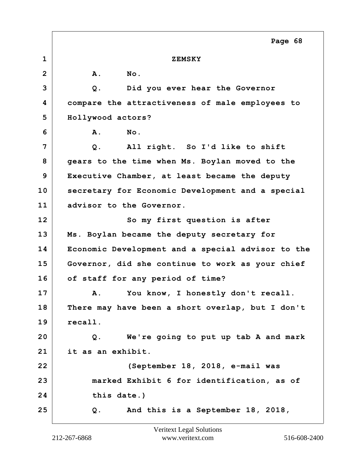|                 | Page 68                                           |
|-----------------|---------------------------------------------------|
| $\mathbf{1}$    | <b>ZEMSKY</b>                                     |
| $\overline{2}$  | No.<br>A.                                         |
| 3               | Did you ever hear the Governor<br>Q.              |
| 4               | compare the attractiveness of male employees to   |
| 5               | Hollywood actors?                                 |
| 6               | No.<br>Α.                                         |
| 7               | All right. So I'd like to shift<br>$Q$ .          |
| 8               | gears to the time when Ms. Boylan moved to the    |
| 9               | Executive Chamber, at least became the deputy     |
| 10              | secretary for Economic Development and a special  |
| 11              | advisor to the Governor.                          |
| 12 <sub>2</sub> | So my first question is after                     |
| 13              | Ms. Boylan became the deputy secretary for        |
| 14              | Economic Development and a special advisor to the |
| 15              | Governor, did she continue to work as your chief  |
| 16              | of staff for any period of time?                  |
| 17              | You know, I honestly don't recall.<br>Α.          |
| 18              | There may have been a short overlap, but I don't  |
| 19              | recall.                                           |
| 20              | We're going to put up tab A and mark<br>Q.        |
| 21              | it as an exhibit.                                 |
| 22              | (September 18, 2018, e-mail was                   |
| 23              | marked Exhibit 6 for identification, as of        |
| 24              | this date.)                                       |
| 25              | And this is a September 18, 2018,<br>Q.           |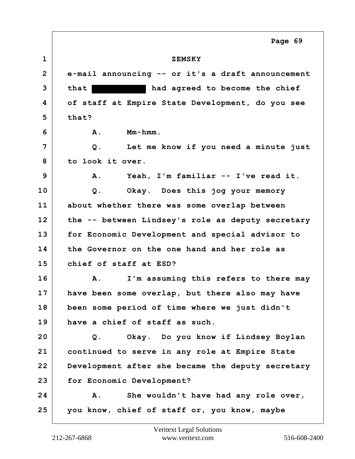**1 ZEMSKY 2 e-mail announcing -- or it's a draft announcement 3 that had agreed to become the chief 4 of staff at Empire State Development, do you see 5 that? 6 A. Mm-hmm. 7 Q. Let me know if you need a minute just 8 to look it over. 9 A. Yeah, I'm familiar -- I've read it. 10 Q. Okay. Does this jog your memory 11 about whether there was some overlap between 12 the -- between Lindsey's role as deputy secretary 13 for Economic Development and special advisor to 14 the Governor on the one hand and her role as 15 chief of staff at ESD? 16 A. I'm assuming this refers to there may 17 have been some overlap, but there also may have 18 been some period of time where we just didn't 19 have a chief of staff as such. 20 Q. Okay. Do you know if Lindsey Boylan 21 continued to serve in any role at Empire State 22 Development after she became the deputy secretary 23 for Economic Development? 24 A. She wouldn't have had any role over, 25 you know, chief of staff or, you know, maybe Page 69**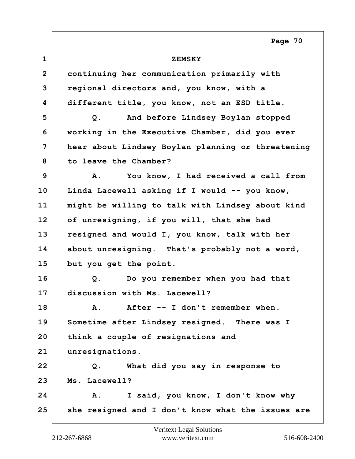| $\mathbf 1$    | <b>ZEMSKY</b>                                     |
|----------------|---------------------------------------------------|
| $\overline{2}$ | continuing her communication primarily with       |
| 3              | regional directors and, you know, with a          |
| 4              | different title, you know, not an ESD title.      |
| 5              | And before Lindsey Boylan stopped<br>Q.           |
| 6              | working in the Executive Chamber, did you ever    |
| 7              | hear about Lindsey Boylan planning or threatening |
| 8              | to leave the Chamber?                             |
| 9              | You know, I had received a call from<br>Α.        |
| 10             | Linda Lacewell asking if I would -- you know,     |
| 11             | might be willing to talk with Lindsey about kind  |
| 12             | of unresigning, if you will, that she had         |
| 13             | resigned and would I, you know, talk with her     |
| 14             | about unresigning. That's probably not a word,    |
| 15             | but you get the point.                            |
| 16             | Do you remember when you had that<br>$Q$ .        |
| 17             | discussion with Ms. Lacewell?                     |
| 18             | After -- I don't remember when<br>$\mathbf{A}$ .  |
| 19             | Sometime after Lindsey resigned. There was I      |
| 20             | think a couple of resignations and                |
| 21             | unresignations.                                   |
| 22             | What did you say in response to<br>Q.             |
| 23             | Ms. Lacewell?                                     |
| 24             | I said, you know, I don't know why<br>Α.          |
| 25             | she resigned and I don't know what the issues are |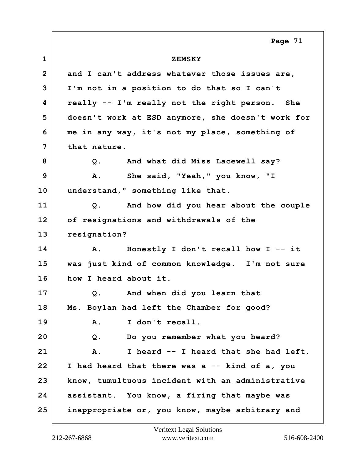**1 ZEMSKY 2 and I can't address whatever those issues are, 3 I'm not in a position to do that so I can't 4 really -- I'm really not the right person. She 5 doesn't work at ESD anymore, she doesn't work for 6 me in any way, it's not my place, something of 7 that nature. 8 Q. And what did Miss Lacewell say? 9 A. She said, "Yeah," you know, "I 10 understand," something like that. 11 Q. And how did you hear about the couple 12 of resignations and withdrawals of the 13 resignation? 14 A. Honestly I don't recall how I -- it 15 was just kind of common knowledge. I'm not sure 16 how I heard about it. 17 Q. And when did you learn that 18 Ms. Boylan had left the Chamber for good? 19 A. I don't recall. 20 Q. Do you remember what you heard? 21 A. I heard -- I heard that she had left. 22 I had heard that there was a -- kind of a, you 23 know, tumultuous incident with an administrative 24 assistant. You know, a firing that maybe was 25 inappropriate or, you know, maybe arbitrary and Page 71**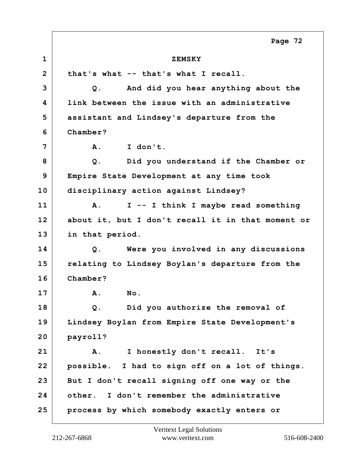**1 ZEMSKY 2 that's what -- that's what I recall. 3 Q. And did you hear anything about the 4 link between the issue with an administrative 5 assistant and Lindsey's departure from the 6 Chamber? 7 A. I don't. 8 Q. Did you understand if the Chamber or 9 Empire State Development at any time took 10 disciplinary action against Lindsey? 11 A. I -- I think I maybe read something 12 about it, but I don't recall it in that moment or 13 in that period. 14 Q. Were you involved in any discussions 15 relating to Lindsey Boylan's departure from the 16 Chamber? 17 A. No. 18 Q. Did you authorize the removal of 19 Lindsey Boylan from Empire State Development's 20 payroll? 21 A. I honestly don't recall. It's 22 possible. I had to sign off on a lot of things. 23 But I don't recall signing off one way or the 24 other. I don't remember the administrative 25 process by which somebody exactly enters or Page 72**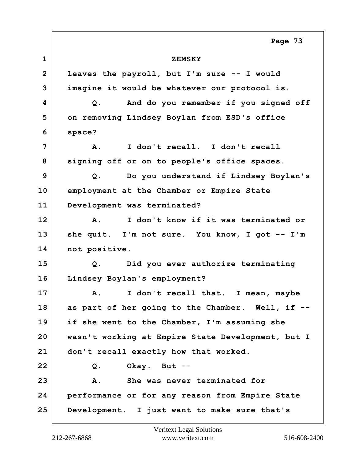**1 ZEMSKY 2 leaves the payroll, but I'm sure -- I would 3 imagine it would be whatever our protocol is. 4 Q. And do you remember if you signed off 5 on removing Lindsey Boylan from ESD's office 6 space? 7 A. I don't recall. I don't recall 8 signing off or on to people's office spaces. 9 Q. Do you understand if Lindsey Boylan's 10 employment at the Chamber or Empire State 11 Development was terminated? 12 A. I don't know if it was terminated or 13 she quit. I'm not sure. You know, I got -- I'm** 14 not positive. **15 Q. Did you ever authorize terminating 16 Lindsey Boylan's employment? 17 A. I don't recall that. I mean, maybe 18 as part of her going to the Chamber. Well, if -- 19 if she went to the Chamber, I'm assuming she 20 wasn't working at Empire State Development, but I 21 don't recall exactly how that worked. 22 Q. Okay. But -- 23 A. She was never terminated for 24 performance or for any reason from Empire State 25 Development. I just want to make sure that's Page 73**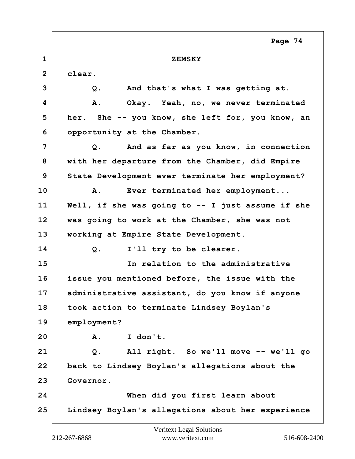|              | Page 74                                           |
|--------------|---------------------------------------------------|
| $\mathbf 1$  | <b>ZEMSKY</b>                                     |
| $\mathbf{2}$ | clear.                                            |
| 3            | And that's what I was getting at.<br>$Q$ .        |
| 4            | Α.<br>Okay. Yeah, no, we never terminated         |
| 5            | her. She -- you know, she left for, you know, an  |
| 6            | opportunity at the Chamber.                       |
| 7            | And as far as you know, in connection<br>Q.       |
| 8            | with her departure from the Chamber, did Empire   |
| 9            | State Development ever terminate her employment?  |
| 10           | Ever terminated her employment<br>Α.              |
| 11           | Well, if she was going to -- I just assume if she |
| 12           | was going to work at the Chamber, she was not     |
| 13           | working at Empire State Development.              |
| 14           | I'll try to be clearer.<br>Q.                     |
| 15           | In relation to the administrative                 |
| 16           | issue you mentioned before, the issue with the    |
| 17           | administrative assistant, do you know if anyone   |
| 18           | took action to terminate Lindsey Boylan's         |
| 19           | employment?                                       |
| 20           | I don't.<br>Α.                                    |
| 21           | All right. So we'll move -- we'll go<br>Q.        |
| 22           | back to Lindsey Boylan's allegations about the    |
| 23           | Governor.                                         |
| 24           | When did you first learn about                    |
| 25           | Lindsey Boylan's allegations about her experience |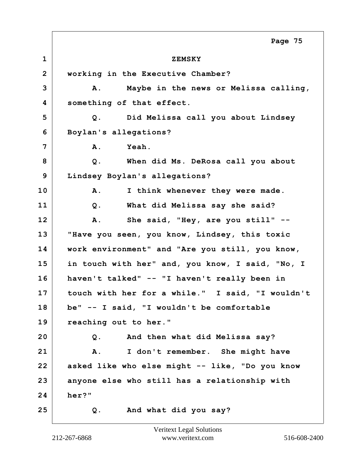**1 ZEMSKY 2 working in the Executive Chamber? 3 A. Maybe in the news or Melissa calling, 4 something of that effect. 5 Q. Did Melissa call you about Lindsey 6 Boylan's allegations? 7 A. Yeah. 8 Q. When did Ms. DeRosa call you about 9 Lindsey Boylan's allegations? 10 A. I think whenever they were made. 11 Q. What did Melissa say she said? 12 A. She said, "Hey, are you still" -- 13 "Have you seen, you know, Lindsey, this toxic 14 work environment" and "Are you still, you know, 15 in touch with her" and, you know, I said, "No, I 16 haven't talked" -- "I haven't really been in 17 touch with her for a while." I said, "I wouldn't 18 be" -- I said, "I wouldn't be comfortable 19 reaching out to her." 20 Q. And then what did Melissa say? 21 A. I don't remember. She might have 22 asked like who else might -- like, "Do you know 23 anyone else who still has a relationship with 24 her?" 25 Q. And what did you say? Page 75**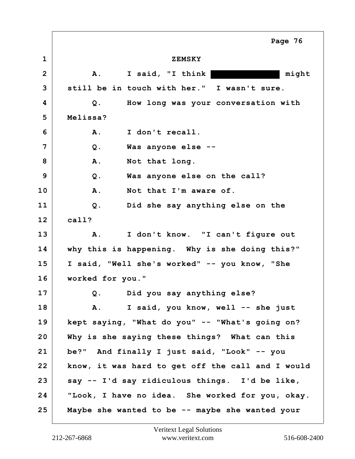**1 ZEMSKY 2 A. I said, "I think might 3 still be in touch with her." I wasn't sure. 4 Q. How long was your conversation with 5 Melissa? 6 A. I don't recall. 7 Q. Was anyone else --** 8 A. Not that long. **9 Q. Was anyone else on the call? 10 A. Not that I'm aware of. 11 Q. Did she say anything else on the 12 call? 13 A. I don't know. "I can't figure out 14 why this is happening. Why is she doing this?" 15 I said, "Well she's worked" -- you know, "She 16 worked for you." 17 Q. Did you say anything else? 18 A. I said, you know, well -- she just 19 kept saying, "What do you" -- "What's going on? 20 Why is she saying these things? What can this 21 be?" And finally I just said, "Look" -- you 22 know, it was hard to get off the call and I would 23 say -- I'd say ridiculous things. I'd be like, 24 "Look, I have no idea. She worked for you, okay. 25 Maybe she wanted to be -- maybe she wanted your Page 76**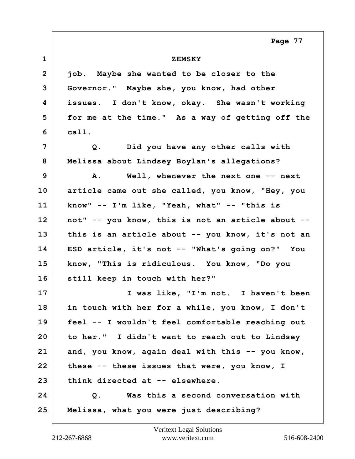**Page 77**

| $\mathbf 1$    | <b>ZEMSKY</b>                                     |
|----------------|---------------------------------------------------|
| $\overline{2}$ | job. Maybe she wanted to be closer to the         |
| 3              | Governor." Maybe she, you know, had other         |
| 4              | issues. I don't know, okay. She wasn't working    |
| 5              | for me at the time." As a way of getting off the  |
| 6              | call.                                             |
| 7              | Q. Did you have any other calls with              |
| 8              | Melissa about Lindsey Boylan's allegations?       |
| 9              | Well, whenever the next one -- next<br>Α.         |
| 10             | article came out she called, you know, "Hey, you  |
| 11             | know" -- I'm like, "Yeah, what" -- "this is       |
| 12             | not" -- you know, this is not an article about -- |
| 13             | this is an article about -- you know, it's not an |
| 14             | ESD article, it's not -- "What's going on?" You   |
| 15             | know, "This is ridiculous. You know, "Do you      |
| 16             | still keep in touch with her?"                    |
| 17             | I was like, "I'm not. I haven't been              |
| 18             | in touch with her for a while, you know, I don't  |
| 19             | feel -- I wouldn't feel comfortable reaching out  |
| 20             | to her." I didn't want to reach out to Lindsey    |
| 21             | and, you know, again deal with this -- you know,  |
| 22             | these -- these issues that were, you know, I      |
| 23             | think directed at -- elsewhere.                   |
| 24             | Was this a second conversation with<br>Q.         |
| 25             | Melissa, what you were just describing?           |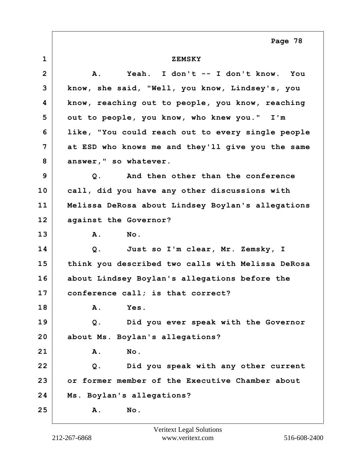**Page 78**

| $\mathbf 1$  | <b>ZEMSKY</b>                                     |
|--------------|---------------------------------------------------|
| $\mathbf{2}$ | Yeah. I don't -- I don't know. You<br><b>A.</b>   |
| 3            | know, she said, "Well, you know, Lindsey's, you   |
| 4            | know, reaching out to people, you know, reaching  |
| 5            | out to people, you know, who knew you." I'm       |
| 6            | like, "You could reach out to every single people |
| 7            | at ESD who knows me and they'll give you the same |
| 8            | answer," so whatever.                             |
| 9            | And then other than the conference<br>Q.          |
| 10           | call, did you have any other discussions with     |
| 11           | Melissa DeRosa about Lindsey Boylan's allegations |
| 12           | against the Governor?                             |
| 13           | A.<br>No.                                         |
| 14           | Just so I'm clear, Mr. Zemsky, I<br>$Q$ .         |
| 15           | think you described two calls with Melissa DeRosa |
| 16           | about Lindsey Boylan's allegations before the     |
| 17           | conference call; is that correct?                 |
| 18           | A. Yes.                                           |
| 19           | Did you ever speak with the Governor<br>$Q$ .     |
| 20           | about Ms. Boylan's allegations?                   |
| 21           | No.<br><b>A</b> .                                 |
| 22           | Did you speak with any other current<br>$Q$ .     |
| 23           | or former member of the Executive Chamber about   |
| 24           | Ms. Boylan's allegations?                         |
| 25           | No.<br>Α.                                         |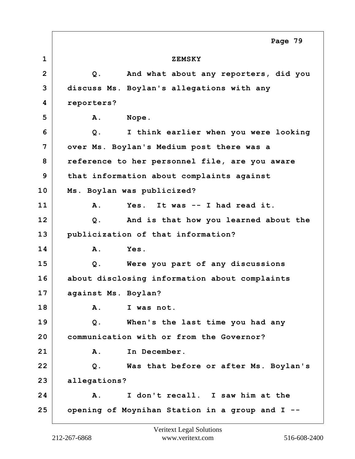**1 ZEMSKY 2 Q. And what about any reporters, did you 3 discuss Ms. Boylan's allegations with any 4 reporters? 5** | **A. Nope. 6 Q. I think earlier when you were looking 7 over Ms. Boylan's Medium post there was a 8 reference to her personnel file, are you aware 9 that information about complaints against 10 Ms. Boylan was publicized? 11 A. Yes. It was -- I had read it. 12 Q. And is that how you learned about the 13 publicization of that information? 14 A. Yes. 15 Q. Were you part of any discussions 16 about disclosing information about complaints 17 against Ms. Boylan? 18 A. I was not. 19 Q. When's the last time you had any 20 communication with or from the Governor?** 21 A. In December. **22 Q. Was that before or after Ms. Boylan's 23 allegations? 24 A. I don't recall. I saw him at the 25 opening of Moynihan Station in a group and I -- Page 79**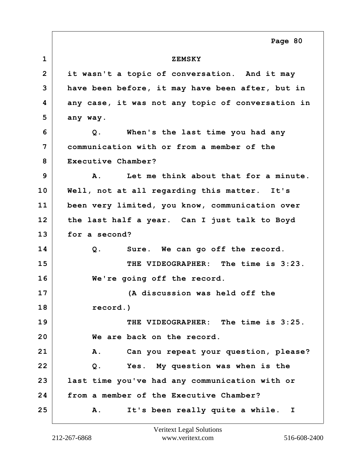**1 ZEMSKY 2 it wasn't a topic of conversation. And it may 3 have been before, it may have been after, but in 4 any case, it was not any topic of conversation in 5 any way. 6 Q. When's the last time you had any 7 communication with or from a member of the 8 Executive Chamber? 9 A. Let me think about that for a minute. 10 Well, not at all regarding this matter. It's 11 been very limited, you know, communication over 12 the last half a year. Can I just talk to Boyd 13 for a second? 14 Q. Sure. We can go off the record. 15 THE VIDEOGRAPHER: The time is 3:23. 16 We're going off the record. 17 (A discussion was held off the 18 record.) 19 THE VIDEOGRAPHER: The time is 3:25. 20 We are back on the record. 21 A. Can you repeat your question, please? 22 Q. Yes. My question was when is the 23 last time you've had any communication with or 24 from a member of the Executive Chamber? 25 A. It's been really quite a while. I Page 80**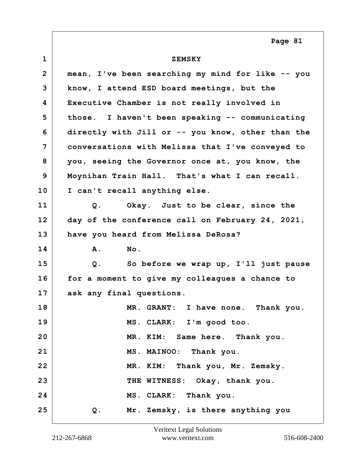**Page 81**

| $\mathbf{1}$    | <b>ZEMSKY</b>                                     |
|-----------------|---------------------------------------------------|
| $\mathbf{2}$    | mean, I've been searching my mind for like -- you |
| 3               | know, I attend ESD board meetings, but the        |
| 4               | Executive Chamber is not really involved in       |
| 5               | those. I haven't been speaking -- communicating   |
| 6               | directly with Jill or -- you know, other than the |
| 7               | conversations with Melissa that I've conveyed to  |
| 8               | you, seeing the Governor once at, you know, the   |
| 9               | Moynihan Train Hall. That's what I can recall.    |
| 10              | I can't recall anything else.                     |
| 11              | Okay. Just to be clear, since the<br>$Q$ .        |
| 12 <sup>2</sup> | day of the conference call on February 24, 2021,  |
| 13              | have you heard from Melissa DeRosa?               |
| 14              | No.<br>Α.                                         |
| 15              | So before we wrap up, I'll just pause<br>Q.       |
| 16              | for a moment to give my colleagues a chance to    |
| 17              | ask any final questions.                          |
| 18              | MR. GRANT: I have none. Thank you.                |
| 19              | MS. CLARK: I'm good too.                          |
| 20              | MR. KIM: Same here. Thank you.                    |
| 21              | MS. MAINOO: Thank you.                            |
| 22              | MR. KIM: Thank you, Mr. Zemsky.                   |
| 23              | THE WITNESS: Okay, thank you.                     |
| 24              | MS. CLARK: Thank you.                             |
| 25              | Mr. Zemsky, is there anything you<br>Q.           |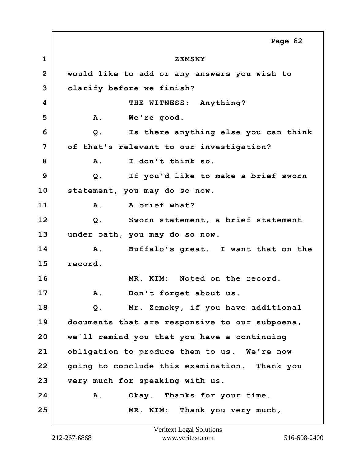**1 ZEMSKY 2 would like to add or any answers you wish to 3 clarify before we finish? 4 THE WITNESS: Anything? 5 A. We're good. 6 Q. Is there anything else you can think 7 of that's relevant to our investigation? 8 A. I don't think so. 9 Q. If you'd like to make a brief sworn 10 statement, you may do so now. 11 A. A brief what? 12 Q. Sworn statement, a brief statement 13 under oath, you may do so now. 14 A. Buffalo's great. I want that on the 15 record. 16 MR. KIM: Noted on the record. 17 A. Don't forget about us. 18 Q. Mr. Zemsky, if you have additional 19 documents that are responsive to our subpoena, 20 we'll remind you that you have a continuing 21 obligation to produce them to us. We're now 22 going to conclude this examination. Thank you 23 very much for speaking with us. 24 A. Okay. Thanks for your time. 25 MR. KIM: Thank you very much, Page 82**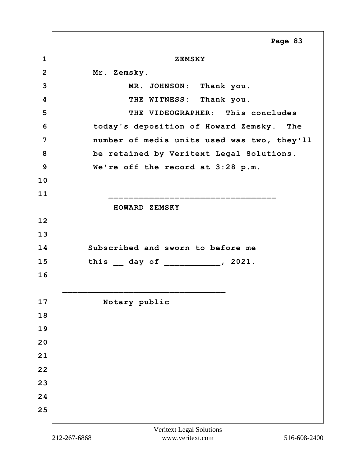|                | Page 83                                     |
|----------------|---------------------------------------------|
| $\mathbf{1}$   | <b>ZEMSKY</b>                               |
| $\overline{2}$ | Mr. Zemsky.                                 |
| 3              | MR. JOHNSON: Thank you.                     |
| 4              | THE WITNESS: Thank you.                     |
| 5              | THE VIDEOGRAPHER: This concludes            |
| 6              | today's deposition of Howard Zemsky. The    |
| $\overline{7}$ | number of media units used was two, they'll |
| 8              | be retained by Veritext Legal Solutions.    |
| 9              | We're off the record at 3:28 p.m.           |
| 10             |                                             |
| 11             |                                             |
|                | HOWARD ZEMSKY                               |
| 12             |                                             |
| 13             |                                             |
| 14             | Subscribed and sworn to before me           |
| 15             | this _ day of ___________, 2021.            |
| 16             |                                             |
|                |                                             |
| 17             | Notary public                               |
| 18             |                                             |
| 19             |                                             |
| 20             |                                             |
| 21             |                                             |
| 22             |                                             |
| 23             |                                             |
| 24             |                                             |
| 25             |                                             |